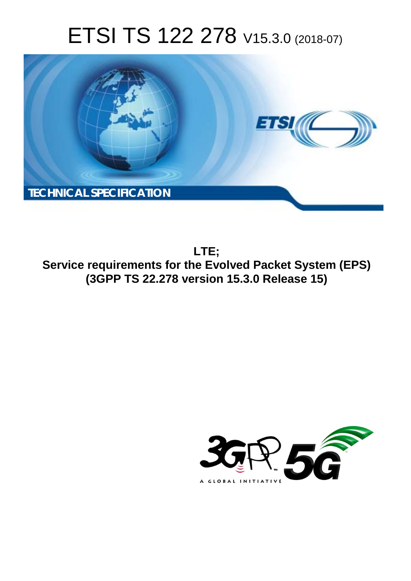# ETSI TS 122 278 V15.3.0 (2018-07)



**LTE; Service requirements for the Evolved Packet System (EPS) (3GPP TS 22.278 version 15.3.0 Release 15)** 

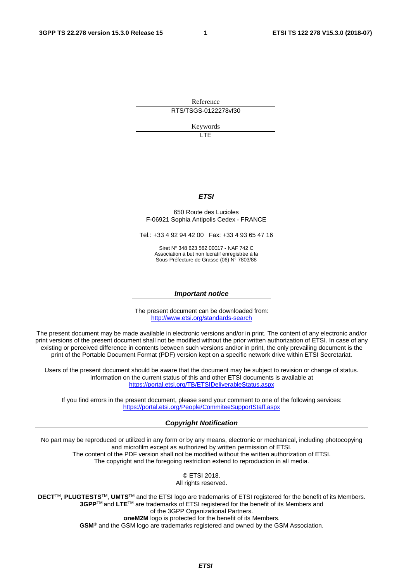Reference RTS/TSGS-0122278vf30

Keywords

LTE

#### *ETSI*

#### 650 Route des Lucioles F-06921 Sophia Antipolis Cedex - FRANCE

Tel.: +33 4 92 94 42 00 Fax: +33 4 93 65 47 16

Siret N° 348 623 562 00017 - NAF 742 C Association à but non lucratif enregistrée à la Sous-Préfecture de Grasse (06) N° 7803/88

#### *Important notice*

The present document can be downloaded from: <http://www.etsi.org/standards-search>

The present document may be made available in electronic versions and/or in print. The content of any electronic and/or print versions of the present document shall not be modified without the prior written authorization of ETSI. In case of any existing or perceived difference in contents between such versions and/or in print, the only prevailing document is the print of the Portable Document Format (PDF) version kept on a specific network drive within ETSI Secretariat.

Users of the present document should be aware that the document may be subject to revision or change of status. Information on the current status of this and other ETSI documents is available at <https://portal.etsi.org/TB/ETSIDeliverableStatus.aspx>

If you find errors in the present document, please send your comment to one of the following services: <https://portal.etsi.org/People/CommiteeSupportStaff.aspx>

#### *Copyright Notification*

No part may be reproduced or utilized in any form or by any means, electronic or mechanical, including photocopying and microfilm except as authorized by written permission of ETSI. The content of the PDF version shall not be modified without the written authorization of ETSI. The copyright and the foregoing restriction extend to reproduction in all media.

> © ETSI 2018. All rights reserved.

**DECT**TM, **PLUGTESTS**TM, **UMTS**TM and the ETSI logo are trademarks of ETSI registered for the benefit of its Members. **3GPP**TM and **LTE**TM are trademarks of ETSI registered for the benefit of its Members and of the 3GPP Organizational Partners. **oneM2M** logo is protected for the benefit of its Members.

**GSM**® and the GSM logo are trademarks registered and owned by the GSM Association.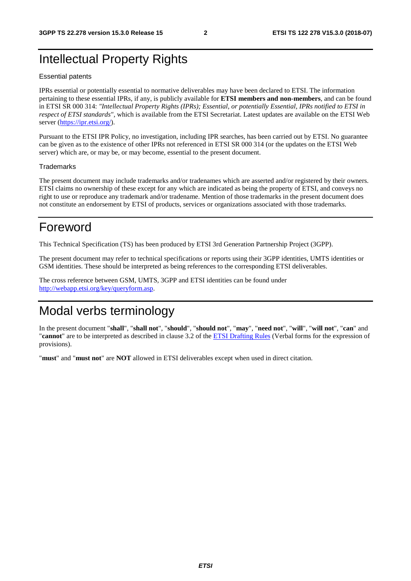### Intellectual Property Rights

#### Essential patents

IPRs essential or potentially essential to normative deliverables may have been declared to ETSI. The information pertaining to these essential IPRs, if any, is publicly available for **ETSI members and non-members**, and can be found in ETSI SR 000 314: *"Intellectual Property Rights (IPRs); Essential, or potentially Essential, IPRs notified to ETSI in respect of ETSI standards"*, which is available from the ETSI Secretariat. Latest updates are available on the ETSI Web server ([https://ipr.etsi.org/\)](https://ipr.etsi.org/).

Pursuant to the ETSI IPR Policy, no investigation, including IPR searches, has been carried out by ETSI. No guarantee can be given as to the existence of other IPRs not referenced in ETSI SR 000 314 (or the updates on the ETSI Web server) which are, or may be, or may become, essential to the present document.

#### **Trademarks**

The present document may include trademarks and/or tradenames which are asserted and/or registered by their owners. ETSI claims no ownership of these except for any which are indicated as being the property of ETSI, and conveys no right to use or reproduce any trademark and/or tradename. Mention of those trademarks in the present document does not constitute an endorsement by ETSI of products, services or organizations associated with those trademarks.

### Foreword

This Technical Specification (TS) has been produced by ETSI 3rd Generation Partnership Project (3GPP).

The present document may refer to technical specifications or reports using their 3GPP identities, UMTS identities or GSM identities. These should be interpreted as being references to the corresponding ETSI deliverables.

The cross reference between GSM, UMTS, 3GPP and ETSI identities can be found under [http://webapp.etsi.org/key/queryform.asp.](http://webapp.etsi.org/key/queryform.asp)

### Modal verbs terminology

In the present document "**shall**", "**shall not**", "**should**", "**should not**", "**may**", "**need not**", "**will**", "**will not**", "**can**" and "**cannot**" are to be interpreted as described in clause 3.2 of the [ETSI Drafting Rules](https://portal.etsi.org/Services/editHelp!/Howtostart/ETSIDraftingRules.aspx) (Verbal forms for the expression of provisions).

"**must**" and "**must not**" are **NOT** allowed in ETSI deliverables except when used in direct citation.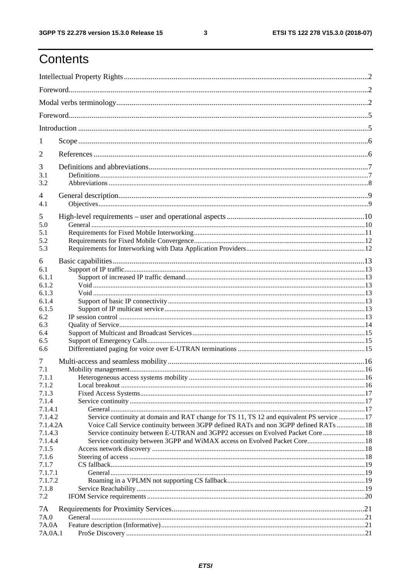## Contents

| 1                              |                                                                                                                                                                                                                                                                        |  |  |  |  |  |  |  |  |
|--------------------------------|------------------------------------------------------------------------------------------------------------------------------------------------------------------------------------------------------------------------------------------------------------------------|--|--|--|--|--|--|--|--|
| $\overline{2}$                 |                                                                                                                                                                                                                                                                        |  |  |  |  |  |  |  |  |
| 3<br>3.1<br>3.2                |                                                                                                                                                                                                                                                                        |  |  |  |  |  |  |  |  |
| 4<br>4.1                       |                                                                                                                                                                                                                                                                        |  |  |  |  |  |  |  |  |
| 5<br>5.0                       |                                                                                                                                                                                                                                                                        |  |  |  |  |  |  |  |  |
| 5.1<br>5.2<br>5.3              |                                                                                                                                                                                                                                                                        |  |  |  |  |  |  |  |  |
| 6                              |                                                                                                                                                                                                                                                                        |  |  |  |  |  |  |  |  |
| 6.1<br>6.1.1<br>6.1.2          |                                                                                                                                                                                                                                                                        |  |  |  |  |  |  |  |  |
| 6.1.3<br>6.1.4                 |                                                                                                                                                                                                                                                                        |  |  |  |  |  |  |  |  |
| 6.1.5<br>6.2<br>6.3            |                                                                                                                                                                                                                                                                        |  |  |  |  |  |  |  |  |
| 6.4<br>6.5<br>6.6              |                                                                                                                                                                                                                                                                        |  |  |  |  |  |  |  |  |
| 7                              |                                                                                                                                                                                                                                                                        |  |  |  |  |  |  |  |  |
| 7.1<br>7.1.1<br>7.1.2          |                                                                                                                                                                                                                                                                        |  |  |  |  |  |  |  |  |
| 7.1.3<br>7.1.4<br>7.1.4.1      |                                                                                                                                                                                                                                                                        |  |  |  |  |  |  |  |  |
| 7.1.4.2<br>7.1.4.2A<br>7.1.4.3 | Service continuity at domain and RAT change for TS 11, TS 12 and equivalent PS service 17<br>Voice Call Service continuity between 3GPP defined RATs and non 3GPP defined RATs  18<br>Service continuity between E-UTRAN and 3GPP2 accesses on Evolved Packet Core  18 |  |  |  |  |  |  |  |  |
| 7.1.4.4<br>7.1.5<br>7.1.6      | Service continuity between 3GPP and WiMAX access on Evolved Packet Core 18                                                                                                                                                                                             |  |  |  |  |  |  |  |  |
| 7.1.7<br>7.1.7.1<br>7.1.7.2    |                                                                                                                                                                                                                                                                        |  |  |  |  |  |  |  |  |
| 7.1.8<br>7.2                   |                                                                                                                                                                                                                                                                        |  |  |  |  |  |  |  |  |
| 7A<br>7A.0                     |                                                                                                                                                                                                                                                                        |  |  |  |  |  |  |  |  |
| 7A.0A<br>7A.0A.1               |                                                                                                                                                                                                                                                                        |  |  |  |  |  |  |  |  |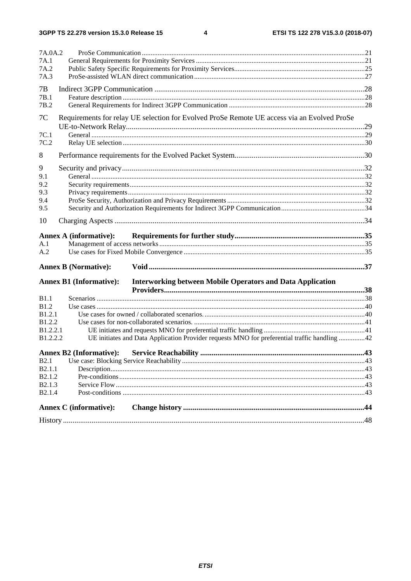$\overline{\mathbf{4}}$ 

| 7A.0A.2                      |                                                                                                     |  |
|------------------------------|-----------------------------------------------------------------------------------------------------|--|
| 7A.1                         |                                                                                                     |  |
| 7A.2                         |                                                                                                     |  |
| 7A.3                         |                                                                                                     |  |
| 7B                           |                                                                                                     |  |
| 7B.1                         |                                                                                                     |  |
| 7B.2                         |                                                                                                     |  |
| 7C                           | Requirements for relay UE selection for Evolved ProSe Remote UE access via an Evolved ProSe         |  |
| 7C.1                         |                                                                                                     |  |
| 7C.2                         |                                                                                                     |  |
| 8                            |                                                                                                     |  |
|                              |                                                                                                     |  |
| 9                            |                                                                                                     |  |
| 9.1                          |                                                                                                     |  |
| 9.2                          |                                                                                                     |  |
| 9.3                          |                                                                                                     |  |
| 9.4                          |                                                                                                     |  |
| 9.5                          |                                                                                                     |  |
| 10                           |                                                                                                     |  |
|                              | <b>Annex A (informative):</b>                                                                       |  |
| A.1                          |                                                                                                     |  |
| A.2                          |                                                                                                     |  |
|                              |                                                                                                     |  |
|                              | <b>Annex B (Normative):</b>                                                                         |  |
|                              | <b>Annex B1 (Informative):</b><br><b>Interworking between Mobile Operators and Data Application</b> |  |
|                              |                                                                                                     |  |
| <b>B1.1</b>                  |                                                                                                     |  |
| <b>B</b> <sub>1.2</sub>      |                                                                                                     |  |
| B1.2.1<br>B <sub>1.2.2</sub> |                                                                                                     |  |
| B1.2.2.1                     |                                                                                                     |  |
| B1.2.2.2                     | UE initiates and Data Application Provider requests MNO for preferential traffic handling 42        |  |
|                              |                                                                                                     |  |
|                              | <b>Annex B2 (Informative):</b>                                                                      |  |
| <b>B2.1</b>                  |                                                                                                     |  |
| B <sub>2.1.1</sub>           |                                                                                                     |  |
| B2.1.2                       |                                                                                                     |  |
| B <sub>2.1.3</sub>           |                                                                                                     |  |
| B <sub>2.1.4</sub>           |                                                                                                     |  |
|                              | <b>Annex C</b> (informative):                                                                       |  |
|                              |                                                                                                     |  |
|                              |                                                                                                     |  |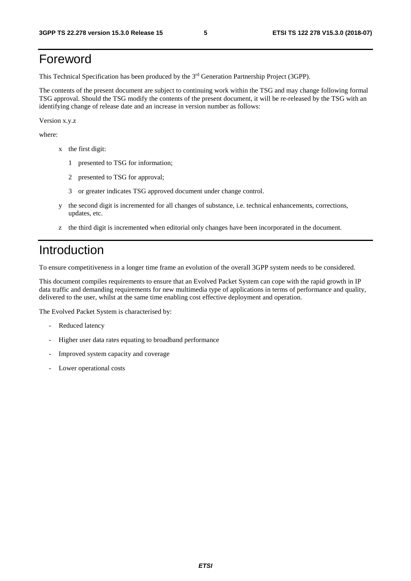### Foreword

This Technical Specification has been produced by the 3rd Generation Partnership Project (3GPP).

The contents of the present document are subject to continuing work within the TSG and may change following formal TSG approval. Should the TSG modify the contents of the present document, it will be re-released by the TSG with an identifying change of release date and an increase in version number as follows:

Version x.y.z

where:

- x the first digit:
	- 1 presented to TSG for information;
	- 2 presented to TSG for approval;
	- 3 or greater indicates TSG approved document under change control.
- y the second digit is incremented for all changes of substance, i.e. technical enhancements, corrections, updates, etc.
- z the third digit is incremented when editorial only changes have been incorporated in the document.

### Introduction

To ensure competitiveness in a longer time frame an evolution of the overall 3GPP system needs to be considered.

This document compiles requirements to ensure that an Evolved Packet System can cope with the rapid growth in IP data traffic and demanding requirements for new multimedia type of applications in terms of performance and quality, delivered to the user, whilst at the same time enabling cost effective deployment and operation.

The Evolved Packet System is characterised by:

- Reduced latency
- Higher user data rates equating to broadband performance
- Improved system capacity and coverage
- Lower operational costs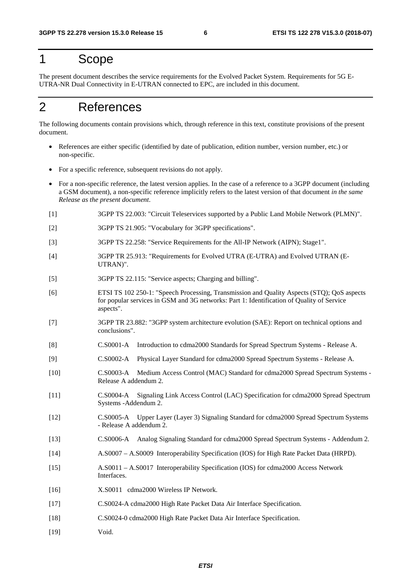### 1 Scope

The present document describes the service requirements for the Evolved Packet System. Requirements for 5G E-UTRA-NR Dual Connectivity in E-UTRAN connected to EPC, are included in this document.

### 2 References

The following documents contain provisions which, through reference in this text, constitute provisions of the present document.

- References are either specific (identified by date of publication, edition number, version number, etc.) or non-specific.
- For a specific reference, subsequent revisions do not apply.
- For a non-specific reference, the latest version applies. In the case of a reference to a 3GPP document (including a GSM document), a non-specific reference implicitly refers to the latest version of that document *in the same Release as the present document*.
- [1] 3GPP TS 22.003: "Circuit Teleservices supported by a Public Land Mobile Network (PLMN)".
- [2] 3GPP TS 21.905: "Vocabulary for 3GPP specifications".
- [3] 3GPP TS 22.258: "Service Requirements for the All-IP Network (AIPN); Stage1".
- [4] 3GPP TR 25.913: "Requirements for Evolved UTRA (E-UTRA) and Evolved UTRAN (E-UTRAN)".
- [5] 3GPP TS 22.115: "Service aspects; Charging and billing".
- [6] ETSI TS 102 250-1: "Speech Processing, Transmission and Quality Aspects (STQ); QoS aspects for popular services in GSM and 3G networks: Part 1: Identification of Quality of Service aspects".
- [7] 3GPP TR 23.882: "3GPP system architecture evolution (SAE): Report on technical options and conclusions".
- [8] C.S0001-A Introduction to cdma2000 Standards for Spread Spectrum Systems Release A.
- [9] C.S0002-A Physical Layer Standard for cdma2000 Spread Spectrum Systems Release A.
- [10] C.S0003-A Medium Access Control (MAC) Standard for cdma2000 Spread Spectrum Systems Release A addendum 2.
- [11] C.S0004-A Signaling Link Access Control (LAC) Specification for cdma2000 Spread Spectrum Systems -Addendum 2.
- [12] C.S0005-A Upper Layer (Layer 3) Signaling Standard for cdma2000 Spread Spectrum Systems - Release A addendum 2.
- [13] C.S0006-A Analog Signaling Standard for cdma2000 Spread Spectrum Systems Addendum 2.
- [14] A.S0007 A.S0009 Interoperability Specification (IOS) for High Rate Packet Data (HRPD).
- [15] A.S0011 A.S0017 Interoperability Specification (IOS) for cdma2000 Access Network Interfaces.
- [16] X.S0011 cdma2000 Wireless IP Network.
- [17] C.S0024-A cdma2000 High Rate Packet Data Air Interface Specification.
- [18] C.S0024-0 cdma2000 High Rate Packet Data Air Interface Specification.
- [19] Void.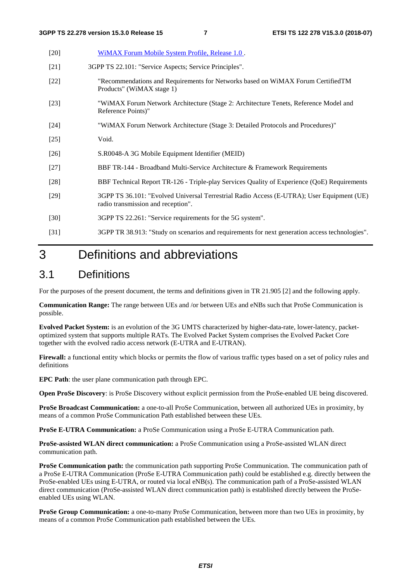| $[20]$ | WiMAX Forum Mobile System Profile, Release 1.0.                                                                                 |
|--------|---------------------------------------------------------------------------------------------------------------------------------|
| $[21]$ | 3GPP TS 22.101: "Service Aspects; Service Principles".                                                                          |
| $[22]$ | "Recommendations and Requirements for Networks based on WiMAX Forum CertifiedTM<br>Products" (WiMAX stage 1)                    |
| $[23]$ | "WiMAX Forum Network Architecture (Stage 2: Architecture Tenets, Reference Model and<br>Reference Points)"                      |
| $[24]$ | "WiMAX Forum Network Architecture (Stage 3: Detailed Protocols and Procedures)"                                                 |
| $[25]$ | Void.                                                                                                                           |
| $[26]$ | S.R0048-A 3G Mobile Equipment Identifier (MEID)                                                                                 |
| $[27]$ | BBF TR-144 - Broadband Multi-Service Architecture & Framework Requirements                                                      |
| $[28]$ | BBF Technical Report TR-126 - Triple-play Services Quality of Experience (QoE) Requirements                                     |
| $[29]$ | 3GPP TS 36.101: "Evolved Universal Terrestrial Radio Access (E-UTRA); User Equipment (UE)<br>radio transmission and reception". |
| $[30]$ | 3GPP TS 22.261: "Service requirements for the 5G system".                                                                       |
| [31]   | 3GPP TR 38.913: "Study on scenarios and requirements for next generation access technologies".                                  |

### 3 Definitions and abbreviations

#### 3.1 Definitions

For the purposes of the present document, the terms and definitions given in TR 21.905 [2] and the following apply.

**Communication Range:** The range between UEs and /or between UEs and eNBs such that ProSe Communication is possible.

**Evolved Packet System:** is an evolution of the 3G UMTS characterized by higher-data-rate, lower-latency, packetoptimized system that supports multiple RATs. The Evolved Packet System comprises the Evolved Packet Core together with the evolved radio access network (E-UTRA and E-UTRAN).

**Firewall:** a functional entity which blocks or permits the flow of various traffic types based on a set of policy rules and definitions

**EPC Path**: the user plane communication path through EPC.

**Open ProSe Discovery**: is ProSe Discovery without explicit permission from the ProSe-enabled UE being discovered.

**ProSe Broadcast Communication:** a one-to-all ProSe Communication, between all authorized UEs in proximity, by means of a common ProSe Communication Path established between these UEs.

**ProSe E-UTRA Communication:** a ProSe Communication using a ProSe E-UTRA Communication path.

**ProSe-assisted WLAN direct communication:** a ProSe Communication using a ProSe-assisted WLAN direct communication path.

**ProSe Communication path:** the communication path supporting ProSe Communication. The communication path of a ProSe E-UTRA Communication (ProSe E-UTRA Communication path) could be established e.g. directly between the ProSe-enabled UEs using E-UTRA, or routed via local eNB(s). The communication path of a ProSe-assisted WLAN direct communication (ProSe-assisted WLAN direct communication path) is established directly between the ProSeenabled UEs using WLAN.

**ProSe Group Communication:** a one-to-many ProSe Communication, between more than two UEs in proximity, by means of a common ProSe Communication path established between the UEs.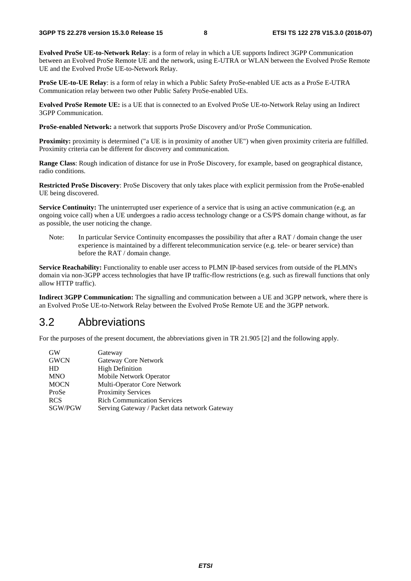**Evolved ProSe UE-to-Network Relay**: is a form of relay in which a UE supports Indirect 3GPP Communication between an Evolved ProSe Remote UE and the network, using E-UTRA or WLAN between the Evolved ProSe Remote UE and the Evolved ProSe UE-to-Network Relay.

**ProSe UE-to-UE Relay**: is a form of relay in which a Public Safety ProSe-enabled UE acts as a ProSe E-UTRA Communication relay between two other Public Safety ProSe-enabled UEs.

**Evolved ProSe Remote UE:** is a UE that is connected to an Evolved ProSe UE-to-Network Relay using an Indirect 3GPP Communication.

**ProSe-enabled Network:** a network that supports ProSe Discovery and/or ProSe Communication.

**Proximity:** proximity is determined ("a UE is in proximity of another UE") when given proximity criteria are fulfilled. Proximity criteria can be different for discovery and communication.

**Range Class**: Rough indication of distance for use in ProSe Discovery, for example, based on geographical distance, radio conditions.

**Restricted ProSe Discovery**: ProSe Discovery that only takes place with explicit permission from the ProSe-enabled UE being discovered.

**Service Continuity:** The uninterrupted user experience of a service that is using an active communication (e.g. an ongoing voice call) when a UE undergoes a radio access technology change or a CS/PS domain change without, as far as possible, the user noticing the change.

Note: In particular Service Continuity encompasses the possibility that after a RAT / domain change the user experience is maintained by a different telecommunication service (e.g. tele- or bearer service) than before the RAT / domain change.

**Service Reachability:** Functionality to enable user access to PLMN IP-based services from outside of the PLMN's domain via non-3GPP access technologies that have IP traffic-flow restrictions (e.g. such as firewall functions that only allow HTTP traffic).

**Indirect 3GPP Communication:** The signalling and communication between a UE and 3GPP network, where there is an Evolved ProSe UE-to-Network Relay between the Evolved ProSe Remote UE and the 3GPP network.

#### 3.2 Abbreviations

For the purposes of the present document, the abbreviations given in TR 21.905 [2] and the following apply.

| <b>GW</b>   | Gateway                                       |
|-------------|-----------------------------------------------|
| <b>GWCN</b> | Gateway Core Network                          |
| HD          | <b>High Definition</b>                        |
| <b>MNO</b>  | Mobile Network Operator                       |
| <b>MOCN</b> | Multi-Operator Core Network                   |
| ProSe       | <b>Proximity Services</b>                     |
| <b>RCS</b>  | <b>Rich Communication Services</b>            |
| SGW/PGW     | Serving Gateway / Packet data network Gateway |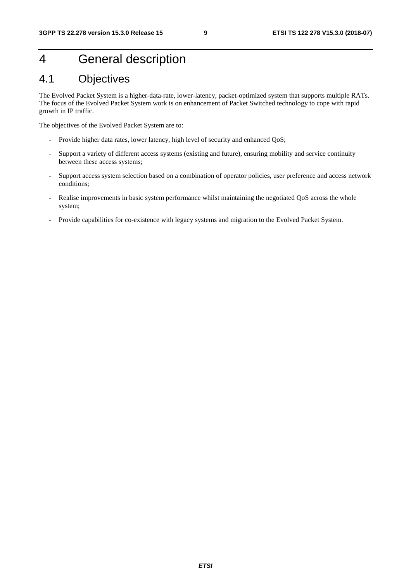### 4 General description

### 4.1 Objectives

The Evolved Packet System is a higher-data-rate, lower-latency, packet-optimized system that supports multiple RATs. The focus of the Evolved Packet System work is on enhancement of Packet Switched technology to cope with rapid growth in IP traffic.

The objectives of the Evolved Packet System are to:

- Provide higher data rates, lower latency, high level of security and enhanced QoS;
- Support a variety of different access systems (existing and future), ensuring mobility and service continuity between these access systems;
- Support access system selection based on a combination of operator policies, user preference and access network conditions;
- Realise improvements in basic system performance whilst maintaining the negotiated QoS across the whole system;
- Provide capabilities for co-existence with legacy systems and migration to the Evolved Packet System.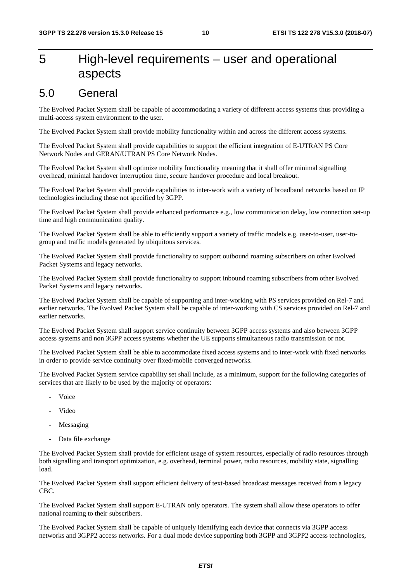### 5 High-level requirements – user and operational aspects

### 5.0 General

The Evolved Packet System shall be capable of accommodating a variety of different access systems thus providing a multi-access system environment to the user.

The Evolved Packet System shall provide mobility functionality within and across the different access systems.

The Evolved Packet System shall provide capabilities to support the efficient integration of E-UTRAN PS Core Network Nodes and GERAN/UTRAN PS Core Network Nodes.

The Evolved Packet System shall optimize mobility functionality meaning that it shall offer minimal signalling overhead, minimal handover interruption time, secure handover procedure and local breakout.

The Evolved Packet System shall provide capabilities to inter-work with a variety of broadband networks based on IP technologies including those not specified by 3GPP.

The Evolved Packet System shall provide enhanced performance e.g., low communication delay, low connection set-up time and high communication quality.

The Evolved Packet System shall be able to efficiently support a variety of traffic models e.g. user-to-user, user-togroup and traffic models generated by ubiquitous services.

The Evolved Packet System shall provide functionality to support outbound roaming subscribers on other Evolved Packet Systems and legacy networks.

The Evolved Packet System shall provide functionality to support inbound roaming subscribers from other Evolved Packet Systems and legacy networks.

The Evolved Packet System shall be capable of supporting and inter-working with PS services provided on Rel-7 and earlier networks. The Evolved Packet System shall be capable of inter-working with CS services provided on Rel-7 and earlier networks.

The Evolved Packet System shall support service continuity between 3GPP access systems and also between 3GPP access systems and non 3GPP access systems whether the UE supports simultaneous radio transmission or not.

The Evolved Packet System shall be able to accommodate fixed access systems and to inter-work with fixed networks in order to provide service continuity over fixed/mobile converged networks.

The Evolved Packet System service capability set shall include, as a minimum, support for the following categories of services that are likely to be used by the majority of operators:

- Voice
- Video
- Messaging
- Data file exchange

The Evolved Packet System shall provide for efficient usage of system resources, especially of radio resources through both signalling and transport optimization, e.g. overhead, terminal power, radio resources, mobility state, signalling load.

The Evolved Packet System shall support efficient delivery of text-based broadcast messages received from a legacy CBC.

The Evolved Packet System shall support E-UTRAN only operators. The system shall allow these operators to offer national roaming to their subscribers.

The Evolved Packet System shall be capable of uniquely identifying each device that connects via 3GPP access networks and 3GPP2 access networks. For a dual mode device supporting both 3GPP and 3GPP2 access technologies,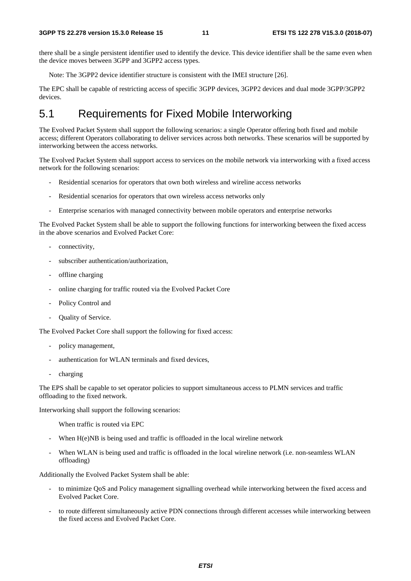there shall be a single persistent identifier used to identify the device. This device identifier shall be the same even when the device moves between 3GPP and 3GPP2 access types.

Note: The 3GPP2 device identifier structure is consistent with the IMEI structure [26].

The EPC shall be capable of restricting access of specific 3GPP devices, 3GPP2 devices and dual mode 3GPP/3GPP2 devices.

### 5.1 Requirements for Fixed Mobile Interworking

The Evolved Packet System shall support the following scenarios: a single Operator offering both fixed and mobile access; different Operators collaborating to deliver services across both networks. These scenarios will be supported by interworking between the access networks.

The Evolved Packet System shall support access to services on the mobile network via interworking with a fixed access network for the following scenarios:

- Residential scenarios for operators that own both wireless and wireline access networks
- Residential scenarios for operators that own wireless access networks only
- Enterprise scenarios with managed connectivity between mobile operators and enterprise networks

The Evolved Packet System shall be able to support the following functions for interworking between the fixed access in the above scenarios and Evolved Packet Core:

- connectivity,
- subscriber authentication/authorization,
- offline charging
- online charging for traffic routed via the Evolved Packet Core
- Policy Control and
- Ouality of Service.

The Evolved Packet Core shall support the following for fixed access:

- policy management,
- authentication for WLAN terminals and fixed devices,
- charging

The EPS shall be capable to set operator policies to support simultaneous access to PLMN services and traffic offloading to the fixed network.

Interworking shall support the following scenarios:

When traffic is routed via EPC

- When H(e)NB is being used and traffic is offloaded in the local wireline network
- When WLAN is being used and traffic is offloaded in the local wireline network (i.e. non-seamless WLAN offloading)

Additionally the Evolved Packet System shall be able:

- to minimize QoS and Policy management signalling overhead while interworking between the fixed access and Evolved Packet Core.
- to route different simultaneously active PDN connections through different accesses while interworking between the fixed access and Evolved Packet Core.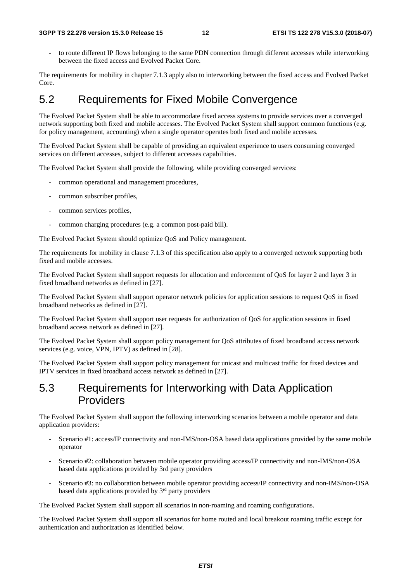to route different IP flows belonging to the same PDN connection through different accesses while interworking between the fixed access and Evolved Packet Core.

The requirements for mobility in chapter 7.1.3 apply also to interworking between the fixed access and Evolved Packet Core.

### 5.2 Requirements for Fixed Mobile Convergence

The Evolved Packet System shall be able to accommodate fixed access systems to provide services over a converged network supporting both fixed and mobile accesses. The Evolved Packet System shall support common functions (e.g. for policy management, accounting) when a single operator operates both fixed and mobile accesses.

The Evolved Packet System shall be capable of providing an equivalent experience to users consuming converged services on different accesses, subject to different accesses capabilities.

The Evolved Packet System shall provide the following, while providing converged services:

- common operational and management procedures,
- common subscriber profiles,
- common services profiles,
- common charging procedures (e.g. a common post-paid bill).

The Evolved Packet System should optimize QoS and Policy management.

The requirements for mobility in clause 7.1.3 of this specification also apply to a converged network supporting both fixed and mobile accesses.

The Evolved Packet System shall support requests for allocation and enforcement of QoS for layer 2 and layer 3 in fixed broadband networks as defined in [27].

The Evolved Packet System shall support operator network policies for application sessions to request QoS in fixed broadband networks as defined in [27].

The Evolved Packet System shall support user requests for authorization of QoS for application sessions in fixed broadband access network as defined in [27].

The Evolved Packet System shall support policy management for QoS attributes of fixed broadband access network services (e.g. voice, VPN, IPTV) as defined in [28].

The Evolved Packet System shall support policy management for unicast and multicast traffic for fixed devices and IPTV services in fixed broadband access network as defined in [27].

#### 5.3 Requirements for Interworking with Data Application Providers

The Evolved Packet System shall support the following interworking scenarios between a mobile operator and data application providers:

- Scenario #1: access/IP connectivity and non-IMS/non-OSA based data applications provided by the same mobile operator
- Scenario #2: collaboration between mobile operator providing access/IP connectivity and non-IMS/non-OSA based data applications provided by 3rd party providers
- Scenario #3: no collaboration between mobile operator providing access/IP connectivity and non-IMS/non-OSA based data applications provided by 3<sup>rd</sup> party providers

The Evolved Packet System shall support all scenarios in non-roaming and roaming configurations.

The Evolved Packet System shall support all scenarios for home routed and local breakout roaming traffic except for authentication and authorization as identified below.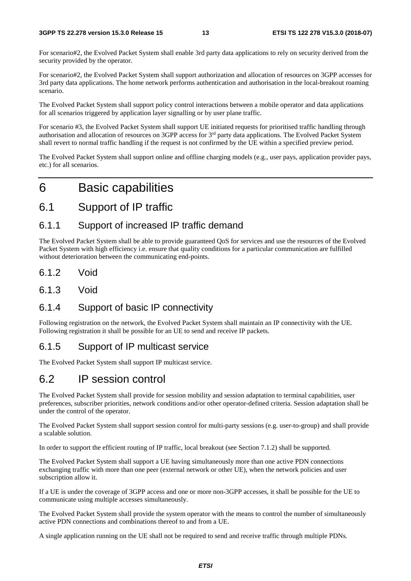For scenario#2, the Evolved Packet System shall enable 3rd party data applications to rely on security derived from the security provided by the operator.

For scenario#2, the Evolved Packet System shall support authorization and allocation of resources on 3GPP accesses for 3rd party data applications. The home network performs authentication and authorisation in the local-breakout roaming scenario.

The Evolved Packet System shall support policy control interactions between a mobile operator and data applications for all scenarios triggered by application layer signalling or by user plane traffic.

For scenario #3, the Evolved Packet System shall support UE initiated requests for prioritised traffic handling through authorisation and allocation of resources on 3GPP access for 3rd party data applications. The Evolved Packet System shall revert to normal traffic handling if the request is not confirmed by the UE within a specified preview period.

The Evolved Packet System shall support online and offline charging models (e.g., user pays, application provider pays, etc.) for all scenarios.

### 6 Basic capabilities

#### 6.1 Support of IP traffic

#### 6.1.1 Support of increased IP traffic demand

The Evolved Packet System shall be able to provide guaranteed QoS for services and use the resources of the Evolved Packet System with high efficiency i.e. ensure that quality conditions for a particular communication are fulfilled without deterioration between the communicating end-points.

- 6.1.2 Void
- 6.1.3 Void

#### 6.1.4 Support of basic IP connectivity

Following registration on the network, the Evolved Packet System shall maintain an IP connectivity with the UE. Following registration it shall be possible for an UE to send and receive IP packets.

### 6.1.5 Support of IP multicast service

The Evolved Packet System shall support IP multicast service.

### 6.2 IP session control

The Evolved Packet System shall provide for session mobility and session adaptation to terminal capabilities, user preferences, subscriber priorities, network conditions and/or other operator-defined criteria. Session adaptation shall be under the control of the operator.

The Evolved Packet System shall support session control for multi-party sessions (e.g. user-to-group) and shall provide a scalable solution.

In order to support the efficient routing of IP traffic, local breakout (see Section 7.1.2) shall be supported.

The Evolved Packet System shall support a UE having simultaneously more than one active PDN connections exchanging traffic with more than one peer (external network or other UE), when the network policies and user subscription allow it.

If a UE is under the coverage of 3GPP access and one or more non-3GPP accesses, it shall be possible for the UE to communicate using multiple accesses simultaneously.

The Evolved Packet System shall provide the system operator with the means to control the number of simultaneously active PDN connections and combinations thereof to and from a UE.

A single application running on the UE shall not be required to send and receive traffic through multiple PDNs.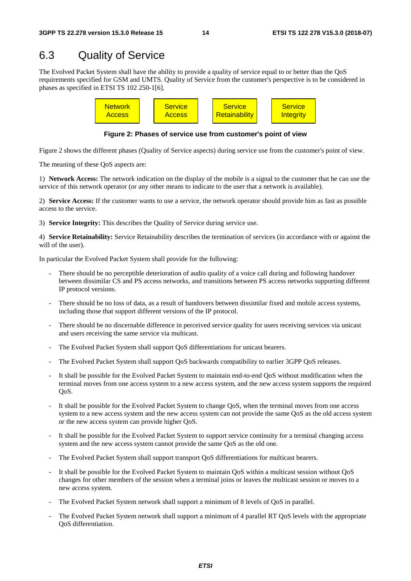### 6.3 Quality of Service

The Evolved Packet System shall have the ability to provide a quality of service equal to or better than the QoS requirements specified for GSM and UMTS. Quality of Service from the customer's perspective is to be considered in phases as specified in ETSI TS 102 250-1[6].



**Figure 2: Phases of service use from customer's point of view** 

Figure 2 shows the different phases (Quality of Service aspects) during service use from the customer's point of view.

The meaning of these QoS aspects are:

1) **Network Access:** The network indication on the display of the mobile is a signal to the customer that he can use the service of this network operator (or any other means to indicate to the user that a network is available).

2) **Service Access:** If the customer wants to use a service, the network operator should provide him as fast as possible access to the service.

3) **Service Integrity:** This describes the Quality of Service during service use.

4) **Service Retainability:** Service Retainability describes the termination of services (in accordance with or against the will of the user).

In particular the Evolved Packet System shall provide for the following:

- There should be no perceptible deterioration of audio quality of a voice call during and following handover between dissimilar CS and PS access networks, and transitions between PS access networks supporting different IP protocol versions.
- There should be no loss of data, as a result of handovers between dissimilar fixed and mobile access systems, including those that support different versions of the IP protocol.
- There should be no discernable difference in perceived service quality for users receiving services via unicast and users receiving the same service via multicast.
- The Evolved Packet System shall support QoS differentiations for unicast bearers.
- The Evolved Packet System shall support QoS backwards compatibility to earlier 3GPP QoS releases.
- It shall be possible for the Evolved Packet System to maintain end-to-end OoS without modification when the terminal moves from one access system to a new access system, and the new access system supports the required OoS.
- It shall be possible for the Evolved Packet System to change QoS, when the terminal moves from one access system to a new access system and the new access system can not provide the same QoS as the old access system or the new access system can provide higher QoS.
- It shall be possible for the Evolved Packet System to support service continuity for a terminal changing access system and the new access system cannot provide the same QoS as the old one.
- The Evolved Packet System shall support transport QoS differentiations for multicast bearers.
- It shall be possible for the Evolved Packet System to maintain QoS within a multicast session without QoS changes for other members of the session when a terminal joins or leaves the multicast session or moves to a new access system.
- The Evolved Packet System network shall support a minimum of 8 levels of QoS in parallel.
- The Evolved Packet System network shall support a minimum of 4 parallel RT QoS levels with the appropriate QoS differentiation.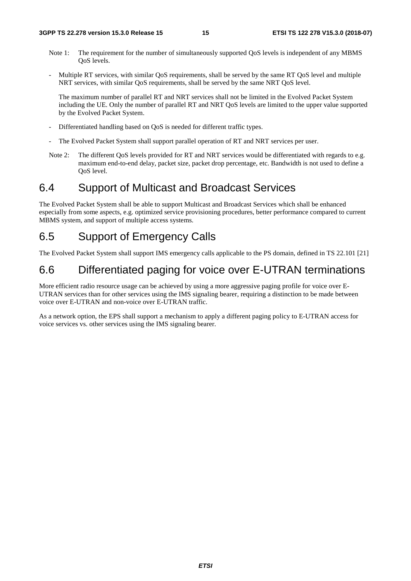- Note 1: The requirement for the number of simultaneously supported OoS levels is independent of any MBMS QoS levels.
- Multiple RT services, with similar QoS requirements, shall be served by the same RT QoS level and multiple NRT services, with similar QoS requirements, shall be served by the same NRT QoS level.

 The maximum number of parallel RT and NRT services shall not be limited in the Evolved Packet System including the UE. Only the number of parallel RT and NRT QoS levels are limited to the upper value supported by the Evolved Packet System.

- Differentiated handling based on OoS is needed for different traffic types.
- The Evolved Packet System shall support parallel operation of RT and NRT services per user.
- Note 2: The different QoS levels provided for RT and NRT services would be differentiated with regards to e.g. maximum end-to-end delay, packet size, packet drop percentage, etc. Bandwidth is not used to define a QoS level.

### 6.4 Support of Multicast and Broadcast Services

The Evolved Packet System shall be able to support Multicast and Broadcast Services which shall be enhanced especially from some aspects, e.g. optimized service provisioning procedures, better performance compared to current MBMS system, and support of multiple access systems.

### 6.5 Support of Emergency Calls

The Evolved Packet System shall support IMS emergency calls applicable to the PS domain, defined in TS 22.101 [21]

### 6.6 Differentiated paging for voice over E-UTRAN terminations

More efficient radio resource usage can be achieved by using a more aggressive paging profile for voice over E-UTRAN services than for other services using the IMS signaling bearer, requiring a distinction to be made between voice over E-UTRAN and non-voice over E-UTRAN traffic.

As a network option, the EPS shall support a mechanism to apply a different paging policy to E-UTRAN access for voice services vs. other services using the IMS signaling bearer.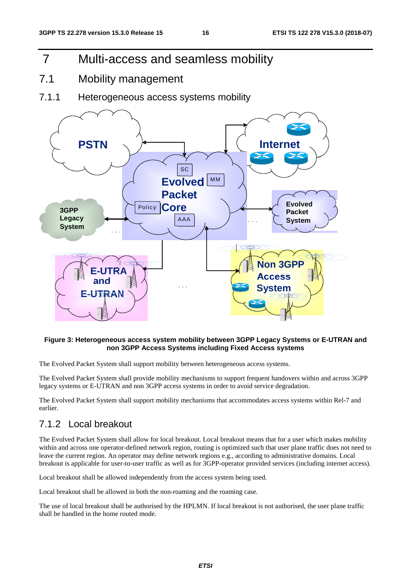- 7 Multi-access and seamless mobility
- 7.1 Mobility management
- 7.1.1 Heterogeneous access systems mobility



#### **Figure 3: Heterogeneous access system mobility between 3GPP Legacy Systems or E-UTRAN and non 3GPP Access Systems including Fixed Access systems**

The Evolved Packet System shall support mobility between heterogeneous access systems.

The Evolved Packet System shall provide mobility mechanisms to support frequent handovers within and across 3GPP legacy systems or E-UTRAN and non 3GPP access systems in order to avoid service degradation.

The Evolved Packet System shall support mobility mechanisms that accommodates access systems within Rel-7 and earlier.

### 7.1.2 Local breakout

The Evolved Packet System shall allow for local breakout. Local breakout means that for a user which makes mobility within and across one operator-defined network region, routing is optimized such that user plane traffic does not need to leave the current region. An operator may define network regions e.g., according to administrative domains. Local breakout is applicable for user-to-user traffic as well as for 3GPP-operator provided services (including internet access).

Local breakout shall be allowed independently from the access system being used.

Local breakout shall be allowed in both the non-roaming and the roaming case.

The use of local breakout shall be authorised by the HPLMN. If local breakout is not authorised, the user plane traffic shall be handled in the home routed mode.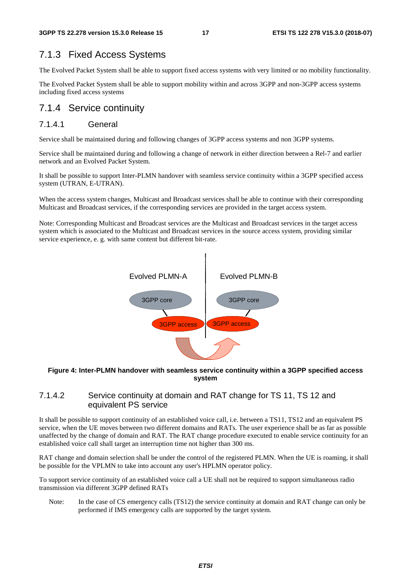#### 7.1.3 Fixed Access Systems

The Evolved Packet System shall be able to support fixed access systems with very limited or no mobility functionality.

The Evolved Packet System shall be able to support mobility within and across 3GPP and non-3GPP access systems including fixed access systems

#### 7.1.4 Service continuity

#### 7.1.4.1 General

Service shall be maintained during and following changes of 3GPP access systems and non 3GPP systems.

Service shall be maintained during and following a change of network in either direction between a Rel-7 and earlier network and an Evolved Packet System.

It shall be possible to support Inter-PLMN handover with seamless service continuity within a 3GPP specified access system (UTRAN, E-UTRAN).

When the access system changes, Multicast and Broadcast services shall be able to continue with their corresponding Multicast and Broadcast services, if the corresponding services are provided in the target access system.

Note: Corresponding Multicast and Broadcast services are the Multicast and Broadcast services in the target access system which is associated to the Multicast and Broadcast services in the source access system, providing similar service experience, e. g. with same content but different bit-rate.



#### **Figure 4: Inter-PLMN handover with seamless service continuity within a 3GPP specified access system**

#### 7.1.4.2 Service continuity at domain and RAT change for TS 11, TS 12 and equivalent PS service

It shall be possible to support continuity of an established voice call, i.e. between a TS11, TS12 and an equivalent PS service, when the UE moves between two different domains and RATs. The user experience shall be as far as possible unaffected by the change of domain and RAT. The RAT change procedure executed to enable service continuity for an established voice call shall target an interruption time not higher than 300 ms.

RAT change and domain selection shall be under the control of the registered PLMN. When the UE is roaming, it shall be possible for the VPLMN to take into account any user's HPLMN operator policy.

To support service continuity of an established voice call a UE shall not be required to support simultaneous radio transmission via different 3GPP defined RATs

Note: In the case of CS emergency calls (TS12) the service continuity at domain and RAT change can only be performed if IMS emergency calls are supported by the target system.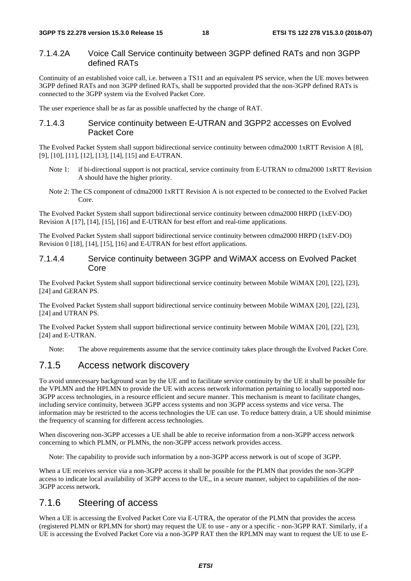#### 7.1.4.2A Voice Call Service continuity between 3GPP defined RATs and non 3GPP defined RATs

Continuity of an established voice call, i.e. between a TS11 and an equivalent PS service, when the UE moves between 3GPP defined RATs and non 3GPP defined RATs, shall be supported provided that the non-3GPP defined RATs is connected to the 3GPP system via the Evolved Packet Core.

The user experience shall be as far as possible unaffected by the change of RAT.

#### 7.1.4.3 Service continuity between E-UTRAN and 3GPP2 accesses on Evolved Packet Core

The Evolved Packet System shall support bidirectional service continuity between cdma2000 1xRTT Revision A [8], [9], [10], [11], [12], [13], [14], [15] and E-UTRAN.

- Note 1: if bi-directional support is not practical, service continuity from E-UTRAN to cdma2000 1xRTT Revision A should have the higher priority.
- Note 2: The CS component of cdma2000 1xRTT Revision A is not expected to be connected to the Evolved Packet Core.

The Evolved Packet System shall support bidirectional service continuity between cdma2000 HRPD (1xEV-DO) Revision A [17], [14], [15], [16] and E-UTRAN for best effort and real-time applications.

The Evolved Packet System shall support bidirectional service continuity between cdma2000 HRPD (1xEV-DO) Revision 0 [18], [14], [15], [16] and E-UTRAN for best effort applications.

#### 7.1.4.4 Service continuity between 3GPP and WiMAX access on Evolved Packet Core

The Evolved Packet System shall support bidirectional service continuity between Mobile WiMAX [20], [22], [23], [24] and GERAN PS.

The Evolved Packet System shall support bidirectional service continuity between Mobile WiMAX [20], [22], [23], [24] and UTRAN PS.

The Evolved Packet System shall support bidirectional service continuity between Mobile WiMAX [20], [22], [23], [24] and E-UTRAN.

Note: The above requirements assume that the service continuity takes place through the Evolved Packet Core.

#### 7.1.5 Access network discovery

To avoid unnecessary background scan by the UE and to facilitate service continuity by the UE it shall be possible for the VPLMN and the HPLMN to provide the UE with access network information pertaining to locally supported non-3GPP access technologies, in a resource efficient and secure manner. This mechanism is meant to facilitate changes, including service continuity, between 3GPP access systems and non 3GPP access systems and vice versa. The information may be restricted to the access technologies the UE can use. To reduce battery drain, a UE should minimise the frequency of scanning for different access technologies.

When discovering non-3GPP accesses a UE shall be able to receive information from a non-3GPP access network concerning to which PLMN, or PLMNs, the non-3GPP access network provides access.

Note: The capability to provide such information by a non-3GPP access network is out of scope of 3GPP.

When a UE receives service via a non-3GPP access it shall be possible for the PLMN that provides the non-3GPP access to indicate local availability of 3GPP access to the UE,, in a secure manner, subject to capabilities of the non-3GPP access network.

#### 7.1.6 Steering of access

When a UE is accessing the Evolved Packet Core via E-UTRA, the operator of the PLMN that provides the access (registered PLMN or RPLMN for short) may request the UE to use - any or a specific - non-3GPP RAT. Similarly, if a UE is accessing the Evolved Packet Core via a non-3GPP RAT then the RPLMN may want to request the UE to use E-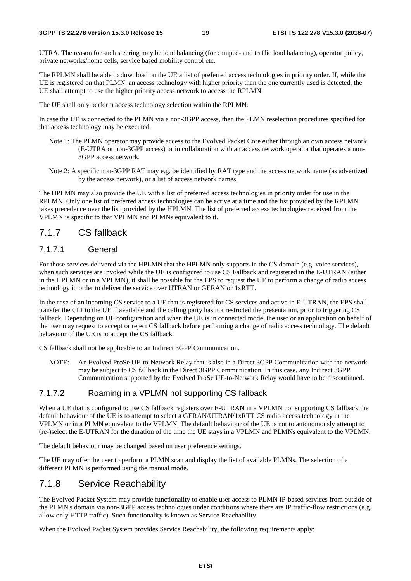UTRA. The reason for such steering may be load balancing (for camped- and traffic load balancing), operator policy, private networks/home cells, service based mobility control etc.

The RPLMN shall be able to download on the UE a list of preferred access technologies in priority order. If, while the UE is registered on that PLMN, an access technology with higher priority than the one currently used is detected, the UE shall attempt to use the higher priority access network to access the RPLMN.

The UE shall only perform access technology selection within the RPLMN.

In case the UE is connected to the PLMN via a non-3GPP access, then the PLMN reselection procedures specified for that access technology may be executed.

- Note 1: The PLMN operator may provide access to the Evolved Packet Core either through an own access network (E-UTRA or non-3GPP access) or in collaboration with an access network operator that operates a non-3GPP access network.
- Note 2: A specific non-3GPP RAT may e.g. be identified by RAT type and the access network name (as advertized by the access network), or a list of access network names.

The HPLMN may also provide the UE with a list of preferred access technologies in priority order for use in the RPLMN. Only one list of preferred access technologies can be active at a time and the list provided by the RPLMN takes precedence over the list provided by the HPLMN. The list of preferred access technologies received from the VPLMN is specific to that VPLMN and PLMNs equivalent to it.

#### 7.1.7 CS fallback

#### 7.1.7.1 General

For those services delivered via the HPLMN that the HPLMN only supports in the CS domain (e.g. voice services), when such services are invoked while the UE is configured to use CS Fallback and registered in the E-UTRAN (either in the HPLMN or in a VPLMN), it shall be possible for the EPS to request the UE to perform a change of radio access technology in order to deliver the service over UTRAN or GERAN or 1xRTT.

In the case of an incoming CS service to a UE that is registered for CS services and active in E-UTRAN, the EPS shall transfer the CLI to the UE if available and the calling party has not restricted the presentation, prior to triggering CS fallback. Depending on UE configuration and when the UE is in connected mode, the user or an application on behalf of the user may request to accept or reject CS fallback before performing a change of radio access technology. The default behaviour of the UE is to accept the CS fallback.

CS fallback shall not be applicable to an Indirect 3GPP Communication.

NOTE: An Evolved ProSe UE-to-Network Relay that is also in a Direct 3GPP Communication with the network may be subject to CS fallback in the Direct 3GPP Communication. In this case, any Indirect 3GPP Communication supported by the Evolved ProSe UE-to-Network Relay would have to be discontinued.

#### 7.1.7.2 Roaming in a VPLMN not supporting CS fallback

When a UE that is configured to use CS fallback registers over E-UTRAN in a VPLMN not supporting CS fallback the default behaviour of the UE is to attempt to select a GERAN/UTRAN/1xRTT CS radio access technology in the VPLMN or in a PLMN equivalent to the VPLMN. The default behaviour of the UE is not to autonomously attempt to (re-)select the E-UTRAN for the duration of the time the UE stays in a VPLMN and PLMNs equivalent to the VPLMN.

The default behaviour may be changed based on user preference settings.

The UE may offer the user to perform a PLMN scan and display the list of available PLMNs. The selection of a different PLMN is performed using the manual mode.

#### 7.1.8 Service Reachability

The Evolved Packet System may provide functionality to enable user access to PLMN IP-based services from outside of the PLMN's domain via non-3GPP access technologies under conditions where there are IP traffic-flow restrictions (e.g. allow only HTTP traffic). Such functionality is known as Service Reachability.

When the Evolved Packet System provides Service Reachability, the following requirements apply: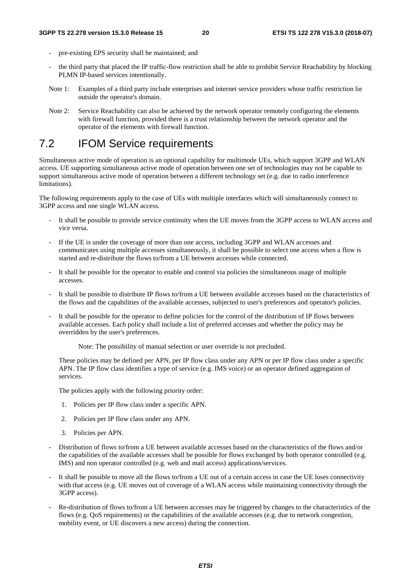- pre-existing EPS security shall be maintained; and
- the third party that placed the IP traffic-flow restriction shall be able to prohibit Service Reachability by blocking PLMN IP-based services intentionally.
- Note 1: Examples of a third party include enterprises and internet service providers whose traffic restriction lie outside the operator's domain.
- Note 2: Service Reachability can also be achieved by the network operator remotely configuring the elements with firewall function, provided there is a trust relationship between the network operator and the operator of the elements with firewall function.

### 7.2 IFOM Service requirements

Simultaneous active mode of operation is an optional capability for multimode UEs, which support 3GPP and WLAN access. UE supporting simultaneous active mode of operation between one set of technologies may not be capable to support simultaneous active mode of operation between a different technology set (e.g. due to radio interference limitations).

The following requirements apply to the case of UEs with multiple interfaces which will simultaneously connect to 3GPP access and one single WLAN access.

- It shall be possible to provide service continuity when the UE moves from the 3GPP access to WLAN access and vice versa.
- If the UE is under the coverage of more than one access, including 3GPP and WLAN accesses and communicates using multiple accesses simultaneously, it shall be possible to select one access when a flow is started and re-distribute the flows to/from a UE between accesses while connected.
- It shall be possible for the operator to enable and control via policies the simultaneous usage of multiple accesses.
- It shall be possible to distribute IP flows to/from a UE between available accesses based on the characteristics of the flows and the capabilities of the available accesses, subjected to user's preferences and operator's policies.
- It shall be possible for the operator to define policies for the control of the distribution of IP flows between available accesses. Each policy shall include a list of preferred accesses and whether the policy may be overridden by the user's preferences.

Note: The possibility of manual selection or user override is not precluded.

These policies may be defined per APN, per IP flow class under any APN or per IP flow class under a specific APN. The IP flow class identifies a type of service (e.g. IMS voice) or an operator defined aggregation of services.

The policies apply with the following priority order:

- 1. Policies per IP flow class under a specific APN.
- 2. Policies per IP flow class under any APN.
- 3. Policies per APN.
- Distribution of flows to/from a UE between available accesses based on the characteristics of the flows and/or the capabilities of the available accesses shall be possible for flows exchanged by both operator controlled (e.g. IMS) and non operator controlled (e.g. web and mail access) applications/services.
- It shall be possible to move all the flows to/from a UE out of a certain access in case the UE loses connectivity with that access (e.g. UE moves out of coverage of a WLAN access while maintaining connectivity through the 3GPP access).
- Re-distribution of flows to/from a UE between accesses may be triggered by changes to the characteristics of the flows (e.g. QoS requirements) or the capabilities of the available accesses (e.g. due to network congestion, mobility event, or UE discovers a new access) during the connection.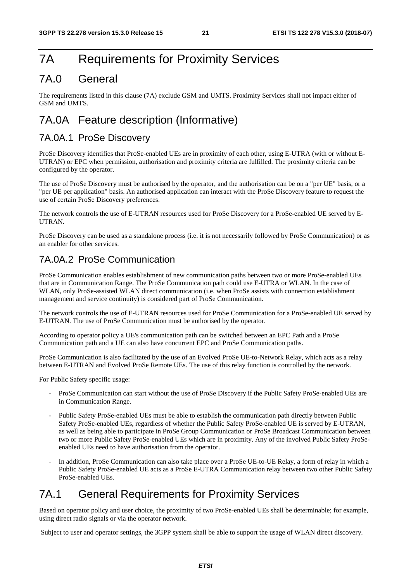### 7A Requirements for Proximity Services

### 7A.0 General

The requirements listed in this clause (7A) exclude GSM and UMTS. Proximity Services shall not impact either of GSM and UMTS.

### 7A.0A Feature description (Informative)

#### 7A.0A.1 ProSe Discovery

ProSe Discovery identifies that ProSe-enabled UEs are in proximity of each other, using E-UTRA (with or without E-UTRAN) or EPC when permission, authorisation and proximity criteria are fulfilled. The proximity criteria can be configured by the operator.

The use of ProSe Discovery must be authorised by the operator, and the authorisation can be on a "per UE" basis, or a "per UE per application" basis. An authorised application can interact with the ProSe Discovery feature to request the use of certain ProSe Discovery preferences.

The network controls the use of E-UTRAN resources used for ProSe Discovery for a ProSe-enabled UE served by E-UTRAN.

ProSe Discovery can be used as a standalone process (i.e. it is not necessarily followed by ProSe Communication) or as an enabler for other services.

#### 7A.0A.2 ProSe Communication

ProSe Communication enables establishment of new communication paths between two or more ProSe-enabled UEs that are in Communication Range. The ProSe Communication path could use E-UTRA or WLAN. In the case of WLAN, only ProSe-assisted WLAN direct communication (i.e. when ProSe assists with connection establishment management and service continuity) is considered part of ProSe Communication.

The network controls the use of E-UTRAN resources used for ProSe Communication for a ProSe-enabled UE served by E-UTRAN. The use of ProSe Communication must be authorised by the operator.

According to operator policy a UE's communication path can be switched between an EPC Path and a ProSe Communication path and a UE can also have concurrent EPC and ProSe Communication paths.

ProSe Communication is also facilitated by the use of an Evolved ProSe UE-to-Network Relay, which acts as a relay between E-UTRAN and Evolved ProSe Remote UEs. The use of this relay function is controlled by the network.

For Public Safety specific usage:

- ProSe Communication can start without the use of ProSe Discovery if the Public Safety ProSe-enabled UEs are in Communication Range.
- Public Safety ProSe-enabled UEs must be able to establish the communication path directly between Public Safety ProSe-enabled UEs, regardless of whether the Public Safety ProSe-enabled UE is served by E-UTRAN, as well as being able to participate in ProSe Group Communication or ProSe Broadcast Communication between two or more Public Safety ProSe-enabled UEs which are in proximity. Any of the involved Public Safety ProSeenabled UEs need to have authorisation from the operator.
- In addition, ProSe Communication can also take place over a ProSe UE-to-UE Relay, a form of relay in which a Public Safety ProSe-enabled UE acts as a ProSe E-UTRA Communication relay between two other Public Safety ProSe-enabled UEs.

### 7A.1 General Requirements for Proximity Services

Based on operator policy and user choice, the proximity of two ProSe-enabled UEs shall be determinable; for example, using direct radio signals or via the operator network.

Subject to user and operator settings, the 3GPP system shall be able to support the usage of WLAN direct discovery.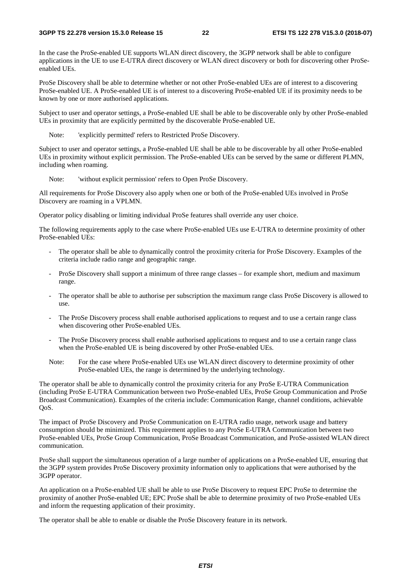In the case the ProSe-enabled UE supports WLAN direct discovery, the 3GPP network shall be able to configure applications in the UE to use E-UTRA direct discovery or WLAN direct discovery or both for discovering other ProSeenabled UEs.

ProSe Discovery shall be able to determine whether or not other ProSe-enabled UEs are of interest to a discovering ProSe-enabled UE. A ProSe-enabled UE is of interest to a discovering ProSe-enabled UE if its proximity needs to be known by one or more authorised applications.

Subject to user and operator settings, a ProSe-enabled UE shall be able to be discoverable only by other ProSe-enabled UEs in proximity that are explicitly permitted by the discoverable ProSe-enabled UE.

Note: 'explicitly permitted' refers to Restricted ProSe Discovery.

Subject to user and operator settings, a ProSe-enabled UE shall be able to be discoverable by all other ProSe-enabled UEs in proximity without explicit permission. The ProSe-enabled UEs can be served by the same or different PLMN, including when roaming.

Note: 'without explicit permission' refers to Open ProSe Discovery.

All requirements for ProSe Discovery also apply when one or both of the ProSe-enabled UEs involved in ProSe Discovery are roaming in a VPLMN.

Operator policy disabling or limiting individual ProSe features shall override any user choice.

The following requirements apply to the case where ProSe-enabled UEs use E-UTRA to determine proximity of other ProSe-enabled UEs:

- The operator shall be able to dynamically control the proximity criteria for ProSe Discovery. Examples of the criteria include radio range and geographic range.
- ProSe Discovery shall support a minimum of three range classes for example short, medium and maximum range.
- The operator shall be able to authorise per subscription the maximum range class ProSe Discovery is allowed to use.
- The ProSe Discovery process shall enable authorised applications to request and to use a certain range class when discovering other ProSe-enabled UEs.
- The ProSe Discovery process shall enable authorised applications to request and to use a certain range class when the ProSe-enabled UE is being discovered by other ProSe-enabled UEs.
- Note: For the case where ProSe-enabled UEs use WLAN direct discovery to determine proximity of other ProSe-enabled UEs, the range is determined by the underlying technology.

The operator shall be able to dynamically control the proximity criteria for any ProSe E-UTRA Communication (including ProSe E-UTRA Communication between two ProSe-enabled UEs, ProSe Group Communication and ProSe Broadcast Communication). Examples of the criteria include: Communication Range, channel conditions, achievable QoS.

The impact of ProSe Discovery and ProSe Communication on E-UTRA radio usage, network usage and battery consumption should be minimized. This requirement applies to any ProSe E-UTRA Communication between two ProSe-enabled UEs, ProSe Group Communication, ProSe Broadcast Communication, and ProSe-assisted WLAN direct communication.

ProSe shall support the simultaneous operation of a large number of applications on a ProSe-enabled UE, ensuring that the 3GPP system provides ProSe Discovery proximity information only to applications that were authorised by the 3GPP operator.

An application on a ProSe-enabled UE shall be able to use ProSe Discovery to request EPC ProSe to determine the proximity of another ProSe-enabled UE; EPC ProSe shall be able to determine proximity of two ProSe-enabled UEs and inform the requesting application of their proximity.

The operator shall be able to enable or disable the ProSe Discovery feature in its network.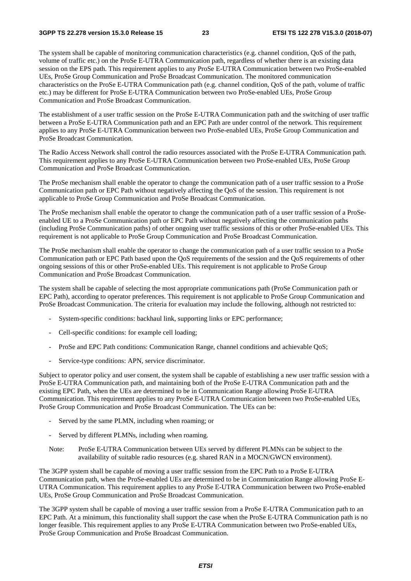The system shall be capable of monitoring communication characteristics (e.g. channel condition, QoS of the path, volume of traffic etc.) on the ProSe E-UTRA Communication path, regardless of whether there is an existing data session on the EPS path. This requirement applies to any ProSe E-UTRA Communication between two ProSe-enabled UEs, ProSe Group Communication and ProSe Broadcast Communication. The monitored communication characteristics on the ProSe E-UTRA Communication path (e.g. channel condition, QoS of the path, volume of traffic etc.) may be different for ProSe E-UTRA Communication between two ProSe-enabled UEs, ProSe Group Communication and ProSe Broadcast Communication.

The establishment of a user traffic session on the ProSe E-UTRA Communication path and the switching of user traffic between a ProSe E-UTRA Communication path and an EPC Path are under control of the network. This requirement applies to any ProSe E-UTRA Communication between two ProSe-enabled UEs, ProSe Group Communication and ProSe Broadcast Communication.

The Radio Access Network shall control the radio resources associated with the ProSe E-UTRA Communication path. This requirement applies to any ProSe E-UTRA Communication between two ProSe-enabled UEs, ProSe Group Communication and ProSe Broadcast Communication.

The ProSe mechanism shall enable the operator to change the communication path of a user traffic session to a ProSe Communication path or EPC Path without negatively affecting the QoS of the session. This requirement is not applicable to ProSe Group Communication and ProSe Broadcast Communication.

The ProSe mechanism shall enable the operator to change the communication path of a user traffic session of a ProSeenabled UE to a ProSe Communication path or EPC Path without negatively affecting the communication paths (including ProSe Communication paths) of other ongoing user traffic sessions of this or other ProSe-enabled UEs. This requirement is not applicable to ProSe Group Communication and ProSe Broadcast Communication.

The ProSe mechanism shall enable the operator to change the communication path of a user traffic session to a ProSe Communication path or EPC Path based upon the QoS requirements of the session and the QoS requirements of other ongoing sessions of this or other ProSe-enabled UEs. This requirement is not applicable to ProSe Group Communication and ProSe Broadcast Communication.

The system shall be capable of selecting the most appropriate communications path (ProSe Communication path or EPC Path), according to operator preferences. This requirement is not applicable to ProSe Group Communication and ProSe Broadcast Communication. The criteria for evaluation may include the following, although not restricted to:

- System-specific conditions: backhaul link, supporting links or EPC performance;
- Cell-specific conditions: for example cell loading;
- ProSe and EPC Path conditions: Communication Range, channel conditions and achievable QoS;
- Service-type conditions: APN, service discriminator.

Subject to operator policy and user consent, the system shall be capable of establishing a new user traffic session with a ProSe E-UTRA Communication path, and maintaining both of the ProSe E-UTRA Communication path and the existing EPC Path, when the UEs are determined to be in Communication Range allowing ProSe E-UTRA Communication. This requirement applies to any ProSe E-UTRA Communication between two ProSe-enabled UEs, ProSe Group Communication and ProSe Broadcast Communication. The UEs can be:

- Served by the same PLMN, including when roaming; or
- Served by different PLMNs, including when roaming.
- Note: ProSe E-UTRA Communication between UEs served by different PLMNs can be subject to the availability of suitable radio resources (e.g. shared RAN in a MOCN/GWCN environment).

The 3GPP system shall be capable of moving a user traffic session from the EPC Path to a ProSe E-UTRA Communication path, when the ProSe-enabled UEs are determined to be in Communication Range allowing ProSe E-UTRA Communication. This requirement applies to any ProSe E-UTRA Communication between two ProSe-enabled UEs, ProSe Group Communication and ProSe Broadcast Communication.

The 3GPP system shall be capable of moving a user traffic session from a ProSe E-UTRA Communication path to an EPC Path. At a minimum, this functionality shall support the case when the ProSe E-UTRA Communication path is no longer feasible. This requirement applies to any ProSe E-UTRA Communication between two ProSe-enabled UEs, ProSe Group Communication and ProSe Broadcast Communication.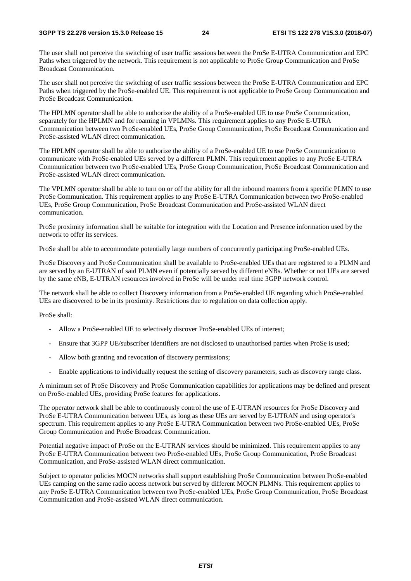The user shall not perceive the switching of user traffic sessions between the ProSe E-UTRA Communication and EPC Paths when triggered by the network. This requirement is not applicable to ProSe Group Communication and ProSe Broadcast Communication.

The user shall not perceive the switching of user traffic sessions between the ProSe E-UTRA Communication and EPC Paths when triggered by the ProSe-enabled UE. This requirement is not applicable to ProSe Group Communication and ProSe Broadcast Communication.

The HPLMN operator shall be able to authorize the ability of a ProSe-enabled UE to use ProSe Communication, separately for the HPLMN and for roaming in VPLMNs. This requirement applies to any ProSe E-UTRA Communication between two ProSe-enabled UEs, ProSe Group Communication, ProSe Broadcast Communication and ProSe-assisted WLAN direct communication.

The HPLMN operator shall be able to authorize the ability of a ProSe-enabled UE to use ProSe Communication to communicate with ProSe-enabled UEs served by a different PLMN. This requirement applies to any ProSe E-UTRA Communication between two ProSe-enabled UEs, ProSe Group Communication, ProSe Broadcast Communication and ProSe-assisted WLAN direct communication.

The VPLMN operator shall be able to turn on or off the ability for all the inbound roamers from a specific PLMN to use ProSe Communication. This requirement applies to any ProSe E-UTRA Communication between two ProSe-enabled UEs, ProSe Group Communication, ProSe Broadcast Communication and ProSe-assisted WLAN direct communication.

ProSe proximity information shall be suitable for integration with the Location and Presence information used by the network to offer its services.

ProSe shall be able to accommodate potentially large numbers of concurrently participating ProSe-enabled UEs.

ProSe Discovery and ProSe Communication shall be available to ProSe-enabled UEs that are registered to a PLMN and are served by an E-UTRAN of said PLMN even if potentially served by different eNBs. Whether or not UEs are served by the same eNB, E-UTRAN resources involved in ProSe will be under real time 3GPP network control.

The network shall be able to collect Discovery information from a ProSe-enabled UE regarding which ProSe-enabled UEs are discovered to be in its proximity. Restrictions due to regulation on data collection apply.

ProSe shall:

- Allow a ProSe-enabled UE to selectively discover ProSe-enabled UEs of interest;
- Ensure that 3GPP UE/subscriber identifiers are not disclosed to unauthorised parties when ProSe is used;
- Allow both granting and revocation of discovery permissions;
- Enable applications to individually request the setting of discovery parameters, such as discovery range class.

A minimum set of ProSe Discovery and ProSe Communication capabilities for applications may be defined and present on ProSe-enabled UEs, providing ProSe features for applications.

The operator network shall be able to continuously control the use of E-UTRAN resources for ProSe Discovery and ProSe E-UTRA Communication between UEs, as long as these UEs are served by E-UTRAN and using operator's spectrum. This requirement applies to any ProSe E-UTRA Communication between two ProSe-enabled UEs, ProSe Group Communication and ProSe Broadcast Communication.

Potential negative impact of ProSe on the E-UTRAN services should be minimized. This requirement applies to any ProSe E-UTRA Communication between two ProSe-enabled UEs, ProSe Group Communication, ProSe Broadcast Communication, and ProSe-assisted WLAN direct communication.

Subject to operator policies MOCN networks shall support establishing ProSe Communication between ProSe-enabled UEs camping on the same radio access network but served by different MOCN PLMNs. This requirement applies to any ProSe E-UTRA Communication between two ProSe-enabled UEs, ProSe Group Communication, ProSe Broadcast Communication and ProSe-assisted WLAN direct communication.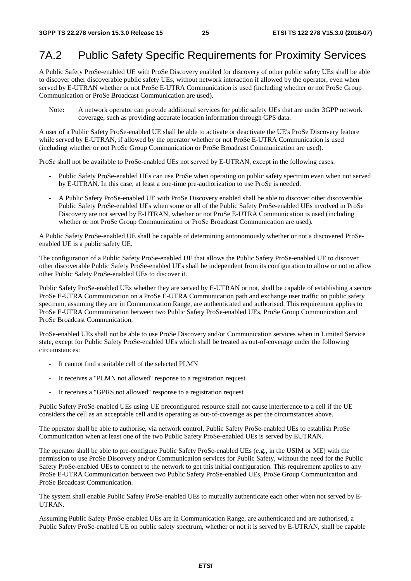### 7A.2 Public Safety Specific Requirements for Proximity Services

A Public Safety ProSe-enabled UE with ProSe Discovery enabled for discovery of other public safety UEs shall be able to discover other discoverable public safety UEs, without network interaction if allowed by the operator, even when served by E-UTRAN whether or not ProSe E-UTRA Communication is used (including whether or not ProSe Group Communication or ProSe Broadcast Communication are used).

Note**:** A network operator can provide additional services for public safety UEs that are under 3GPP network coverage, such as providing accurate location information through GPS data.

A user of a Public Safety ProSe-enabled UE shall be able to activate or deactivate the UE's ProSe Discovery feature while served by E-UTRAN, if allowed by the operator whether or not ProSe E-UTRA Communication is used (including whether or not ProSe Group Communication or ProSe Broadcast Communication are used).

ProSe shall not be available to ProSe-enabled UEs not served by E-UTRAN, except in the following cases:

- Public Safety ProSe-enabled UEs can use ProSe when operating on public safety spectrum even when not served by E-UTRAN. In this case, at least a one-time pre-authorization to use ProSe is needed.
- A Public Safety ProSe-enabled UE with ProSe Discovery enabled shall be able to discover other discoverable Public Safety ProSe-enabled UEs when some or all of the Public Safety ProSe-enabled UEs involved in ProSe Discovery are not served by E-UTRAN, whether or not ProSe E-UTRA Communication is used (including whether or not ProSe Group Communication or ProSe Broadcast Communication are used).

A Public Safety ProSe-enabled UE shall be capable of determining autonomously whether or not a discovered ProSeenabled UE is a public safety UE.

The configuration of a Public Safety ProSe-enabled UE that allows the Public Safety ProSe-enabled UE to discover other discoverable Public Safety ProSe-enabled UEs shall be independent from its configuration to allow or not to allow other Public Safety ProSe-enabled UEs to discover it.

Public Safety ProSe-enabled UEs whether they are served by E-UTRAN or not, shall be capable of establishing a secure ProSe E-UTRA Communication on a ProSe E-UTRA Communication path and exchange user traffic on public safety spectrum, assuming they are in Communication Range, are authenticated and authorised. This requirement applies to ProSe E-UTRA Communication between two Public Safety ProSe-enabled UEs, ProSe Group Communication and ProSe Broadcast Communication.

ProSe-enabled UEs shall not be able to use ProSe Discovery and/or Communication services when in Limited Service state, except for Public Safety ProSe-enabled UEs which shall be treated as out-of-coverage under the following circumstances:

- It cannot find a suitable cell of the selected PLMN
- It receives a "PLMN not allowed" response to a registration request
- It receives a "GPRS not allowed" response to a registration request

Public Safety ProSe-enabled UEs using UE preconfigured resource shall not cause interference to a cell if the UE considers the cell as an acceptable cell and is operating as out-of-coverage as per the circumstances above.

The operator shall be able to authorise, via network control, Public Safety ProSe-enabled UEs to establish ProSe Communication when at least one of the two Public Safety ProSe-enabled UEs is served by EUTRAN.

The operator shall be able to pre-configure Public Safety ProSe-enabled UEs (e.g., in the USIM or ME) with the permission to use ProSe Discovery and/or Communication services for Public Safety, without the need for the Public Safety ProSe-enabled UEs to connect to the network to get this initial configuration. This requirement applies to any ProSe E-UTRA Communication between two Public Safety ProSe-enabled UEs, ProSe Group Communication and ProSe Broadcast Communication.

The system shall enable Public Safety ProSe-enabled UEs to mutually authenticate each other when not served by E-UTRAN.

Assuming Public Safety ProSe-enabled UEs are in Communication Range, are authenticated and are authorised, a Public Safety ProSe-enabled UE on public safety spectrum, whether or not it is served by E-UTRAN, shall be capable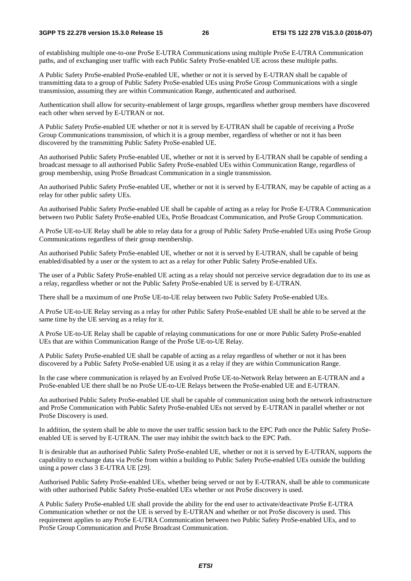of establishing multiple one-to-one ProSe E-UTRA Communications using multiple ProSe E-UTRA Communication paths, and of exchanging user traffic with each Public Safety ProSe-enabled UE across these multiple paths.

A Public Safety ProSe-enabled ProSe-enabled UE, whether or not it is served by E-UTRAN shall be capable of transmitting data to a group of Public Safety ProSe-enabled UEs using ProSe Group Communications with a single transmission, assuming they are within Communication Range, authenticated and authorised.

Authentication shall allow for security-enablement of large groups, regardless whether group members have discovered each other when served by E-UTRAN or not.

A Public Safety ProSe-enabled UE whether or not it is served by E-UTRAN shall be capable of receiving a ProSe Group Communications transmission, of which it is a group member, regardless of whether or not it has been discovered by the transmitting Public Safety ProSe-enabled UE.

An authorised Public Safety ProSe-enabled UE, whether or not it is served by E-UTRAN shall be capable of sending a broadcast message to all authorised Public Safety ProSe-enabled UEs within Communication Range, regardless of group membership, using ProSe Broadcast Communication in a single transmission.

An authorised Public Safety ProSe-enabled UE, whether or not it is served by E-UTRAN, may be capable of acting as a relay for other public safety UEs.

An authorised Public Safety ProSe-enabled UE shall be capable of acting as a relay for ProSe E-UTRA Communication between two Public Safety ProSe-enabled UEs, ProSe Broadcast Communication, and ProSe Group Communication.

A ProSe UE-to-UE Relay shall be able to relay data for a group of Public Safety ProSe-enabled UEs using ProSe Group Communications regardless of their group membership.

An authorised Public Safety ProSe-enabled UE, whether or not it is served by E-UTRAN, shall be capable of being enabled/disabled by a user or the system to act as a relay for other Public Safety ProSe-enabled UEs.

The user of a Public Safety ProSe-enabled UE acting as a relay should not perceive service degradation due to its use as a relay, regardless whether or not the Public Safety ProSe-enabled UE is served by E-UTRAN.

There shall be a maximum of one ProSe UE-to-UE relay between two Public Safety ProSe-enabled UEs.

A ProSe UE-to-UE Relay serving as a relay for other Public Safety ProSe-enabled UE shall be able to be served at the same time by the UE serving as a relay for it.

A ProSe UE-to-UE Relay shall be capable of relaying communications for one or more Public Safety ProSe-enabled UEs that are within Communication Range of the ProSe UE-to-UE Relay.

A Public Safety ProSe-enabled UE shall be capable of acting as a relay regardless of whether or not it has been discovered by a Public Safety ProSe-enabled UE using it as a relay if they are within Communication Range.

In the case where communication is relayed by an Evolved ProSe UE-to-Network Relay between an E-UTRAN and a ProSe-enabled UE there shall be no ProSe UE-to-UE Relays between the ProSe-enabled UE and E-UTRAN.

An authorised Public Safety ProSe-enabled UE shall be capable of communication using both the network infrastructure and ProSe Communication with Public Safety ProSe-enabled UEs not served by E-UTRAN in parallel whether or not ProSe Discovery is used.

In addition, the system shall be able to move the user traffic session back to the EPC Path once the Public Safety ProSeenabled UE is served by E-UTRAN. The user may inhibit the switch back to the EPC Path.

It is desirable that an authorised Public Safety ProSe-enabled UE, whether or not it is served by E-UTRAN, supports the capability to exchange data via ProSe from within a building to Public Safety ProSe-enabled UEs outside the building using a power class 3 E-UTRA UE [29].

Authorised Public Safety ProSe-enabled UEs, whether being served or not by E-UTRAN, shall be able to communicate with other authorised Public Safety ProSe-enabled UEs whether or not ProSe discovery is used.

A Public Safety ProSe-enabled UE shall provide the ability for the end user to activate/deactivate ProSe E-UTRA Communication whether or not the UE is served by E-UTRAN and whether or not ProSe discovery is used. This requirement applies to any ProSe E-UTRA Communication between two Public Safety ProSe-enabled UEs, and to ProSe Group Communication and ProSe Broadcast Communication.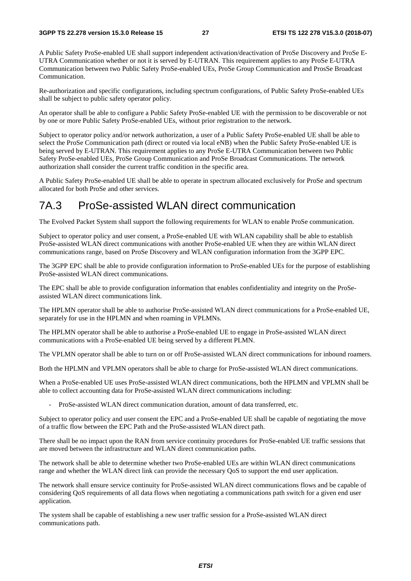A Public Safety ProSe-enabled UE shall support independent activation/deactivation of ProSe Discovery and ProSe E-UTRA Communication whether or not it is served by E-UTRAN. This requirement applies to any ProSe E-UTRA Communication between two Public Safety ProSe-enabled UEs, ProSe Group Communication and ProsSe Broadcast Communication.

Re-authorization and specific configurations, including spectrum configurations, of Public Safety ProSe-enabled UEs shall be subject to public safety operator policy.

An operator shall be able to configure a Public Safety ProSe-enabled UE with the permission to be discoverable or not by one or more Public Safety ProSe-enabled UEs, without prior registration to the network.

Subject to operator policy and/or network authorization, a user of a Public Safety ProSe-enabled UE shall be able to select the ProSe Communication path (direct or routed via local eNB) when the Public Safety ProSe-enabled UE is being served by E-UTRAN. This requirement applies to any ProSe E-UTRA Communication between two Public Safety ProSe-enabled UEs, ProSe Group Communication and ProSe Broadcast Communications. The network authorization shall consider the current traffic condition in the specific area.

A Public Safety ProSe-enabled UE shall be able to operate in spectrum allocated exclusively for ProSe and spectrum allocated for both ProSe and other services.

### 7A.3 ProSe-assisted WLAN direct communication

The Evolved Packet System shall support the following requirements for WLAN to enable ProSe communication.

Subject to operator policy and user consent, a ProSe-enabled UE with WLAN capability shall be able to establish ProSe-assisted WLAN direct communications with another ProSe-enabled UE when they are within WLAN direct communications range, based on ProSe Discovery and WLAN configuration information from the 3GPP EPC.

The 3GPP EPC shall be able to provide configuration information to ProSe-enabled UEs for the purpose of establishing ProSe-assisted WLAN direct communications.

The EPC shall be able to provide configuration information that enables confidentiality and integrity on the ProSeassisted WLAN direct communications link.

The HPLMN operator shall be able to authorise ProSe-assisted WLAN direct communications for a ProSe-enabled UE, separately for use in the HPLMN and when roaming in VPLMNs.

The HPLMN operator shall be able to authorise a ProSe-enabled UE to engage in ProSe-assisted WLAN direct communications with a ProSe-enabled UE being served by a different PLMN.

The VPLMN operator shall be able to turn on or off ProSe-assisted WLAN direct communications for inbound roamers.

Both the HPLMN and VPLMN operators shall be able to charge for ProSe-assisted WLAN direct communications.

When a ProSe-enabled UE uses ProSe-assisted WLAN direct communications, both the HPLMN and VPLMN shall be able to collect accounting data for ProSe-assisted WLAN direct communications including:

- ProSe-assisted WLAN direct communication duration, amount of data transferred, etc.

Subject to operator policy and user consent the EPC and a ProSe-enabled UE shall be capable of negotiating the move of a traffic flow between the EPC Path and the ProSe-assisted WLAN direct path.

There shall be no impact upon the RAN from service continuity procedures for ProSe-enabled UE traffic sessions that are moved between the infrastructure and WLAN direct communication paths.

The network shall be able to determine whether two ProSe-enabled UEs are within WLAN direct communications range and whether the WLAN direct link can provide the necessary QoS to support the end user application.

The network shall ensure service continuity for ProSe-assisted WLAN direct communications flows and be capable of considering QoS requirements of all data flows when negotiating a communications path switch for a given end user application.

The system shall be capable of establishing a new user traffic session for a ProSe-assisted WLAN direct communications path.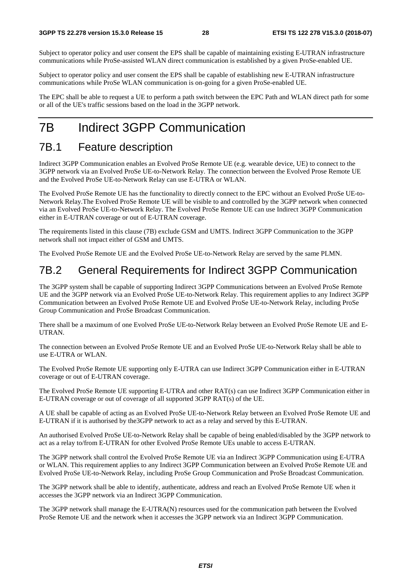Subject to operator policy and user consent the EPS shall be capable of maintaining existing E-UTRAN infrastructure communications while ProSe-assisted WLAN direct communication is established by a given ProSe-enabled UE.

Subject to operator policy and user consent the EPS shall be capable of establishing new E-UTRAN infrastructure communications while ProSe WLAN communication is on-going for a given ProSe-enabled UE.

The EPC shall be able to request a UE to perform a path switch between the EPC Path and WLAN direct path for some or all of the UE's traffic sessions based on the load in the 3GPP network.

### 7B Indirect 3GPP Communication

### 7B.1 Feature description

Indirect 3GPP Communication enables an Evolved ProSe Remote UE (e.g. wearable device, UE) to connect to the 3GPP network via an Evolved ProSe UE-to-Network Relay. The connection between the Evolved Prose Remote UE and the Evolved ProSe UE-to-Network Relay can use E-UTRA or WLAN.

The Evolved ProSe Remote UE has the functionality to directly connect to the EPC without an Evolved ProSe UE-to-Network Relay.The Evolved ProSe Remote UE will be visible to and controlled by the 3GPP network when connected via an Evolved ProSe UE-to-Network Relay. The Evolved ProSe Remote UE can use Indirect 3GPP Communication either in E-UTRAN coverage or out of E-UTRAN coverage.

The requirements listed in this clause (7B) exclude GSM and UMTS. Indirect 3GPP Communication to the 3GPP network shall not impact either of GSM and UMTS.

The Evolved ProSe Remote UE and the Evolved ProSe UE-to-Network Relay are served by the same PLMN.

### 7B.2 General Requirements for Indirect 3GPP Communication

The 3GPP system shall be capable of supporting Indirect 3GPP Communications between an Evolved ProSe Remote UE and the 3GPP network via an Evolved ProSe UE-to-Network Relay. This requirement applies to any Indirect 3GPP Communication between an Evolved ProSe Remote UE and Evolved ProSe UE-to-Network Relay, including ProSe Group Communication and ProSe Broadcast Communication.

There shall be a maximum of one Evolved ProSe UE-to-Network Relay between an Evolved ProSe Remote UE and E-UTRAN.

The connection between an Evolved ProSe Remote UE and an Evolved ProSe UE-to-Network Relay shall be able to use E-UTRA or WLAN.

The Evolved ProSe Remote UE supporting only E-UTRA can use Indirect 3GPP Communication either in E-UTRAN coverage or out of E-UTRAN coverage.

The Evolved ProSe Remote UE supporting E-UTRA and other RAT(s) can use Indirect 3GPP Communication either in E-UTRAN coverage or out of coverage of all supported 3GPP RAT(s) of the UE.

A UE shall be capable of acting as an Evolved ProSe UE-to-Network Relay between an Evolved ProSe Remote UE and E-UTRAN if it is authorised by the3GPP network to act as a relay and served by this E-UTRAN.

An authorised Evolved ProSe UE-to-Network Relay shall be capable of being enabled/disabled by the 3GPP network to act as a relay to/from E-UTRAN for other Evolved ProSe Remote UEs unable to access E-UTRAN.

The 3GPP network shall control the Evolved ProSe Remote UE via an Indirect 3GPP Communication using E-UTRA or WLAN. This requirement applies to any Indirect 3GPP Communication between an Evolved ProSe Remote UE and Evolved ProSe UE-to-Network Relay, including ProSe Group Communication and ProSe Broadcast Communication.

The 3GPP network shall be able to identify, authenticate, address and reach an Evolved ProSe Remote UE when it accesses the 3GPP network via an Indirect 3GPP Communication.

The 3GPP network shall manage the E-UTRA(N) resources used for the communication path between the Evolved ProSe Remote UE and the network when it accesses the 3GPP network via an Indirect 3GPP Communication.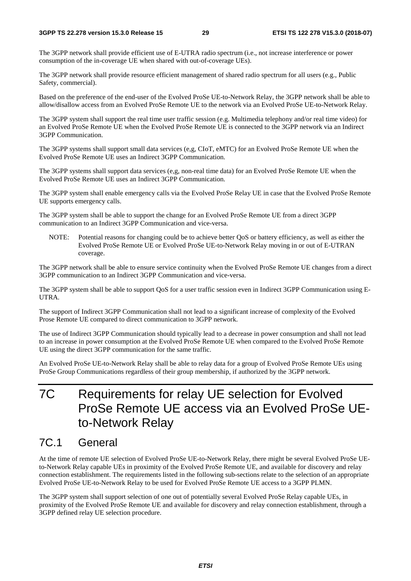#### **3GPP TS 22.278 version 15.3.0 Release 15 29 ETSI TS 122 278 V15.3.0 (2018-07)**

The 3GPP network shall provide efficient use of E-UTRA radio spectrum (i.e., not increase interference or power consumption of the in-coverage UE when shared with out-of-coverage UEs).

The 3GPP network shall provide resource efficient management of shared radio spectrum for all users (e.g., Public Safety, commercial).

Based on the preference of the end-user of the Evolved ProSe UE-to-Network Relay, the 3GPP network shall be able to allow/disallow access from an Evolved ProSe Remote UE to the network via an Evolved ProSe UE-to-Network Relay.

The 3GPP system shall support the real time user traffic session (e.g. Multimedia telephony and/or real time video) for an Evolved ProSe Remote UE when the Evolved ProSe Remote UE is connected to the 3GPP network via an Indirect 3GPP Communication.

The 3GPP systems shall support small data services (e,g, CIoT, eMTC) for an Evolved ProSe Remote UE when the Evolved ProSe Remote UE uses an Indirect 3GPP Communication.

The 3GPP systems shall support data services (e,g, non-real time data) for an Evolved ProSe Remote UE when the Evolved ProSe Remote UE uses an Indirect 3GPP Communication.

The 3GPP system shall enable emergency calls via the Evolved ProSe Relay UE in case that the Evolved ProSe Remote UE supports emergency calls.

The 3GPP system shall be able to support the change for an Evolved ProSe Remote UE from a direct 3GPP communication to an Indirect 3GPP Communication and vice-versa.

NOTE: Potential reasons for changing could be to achieve better QoS or battery efficiency, as well as either the Evolved ProSe Remote UE or Evolved ProSe UE-to-Network Relay moving in or out of E-UTRAN coverage.

The 3GPP network shall be able to ensure service continuity when the Evolved ProSe Remote UE changes from a direct 3GPP communication to an Indirect 3GPP Communication and vice-versa.

The 3GPP system shall be able to support QoS for a user traffic session even in Indirect 3GPP Communication using E-UTRA.

The support of Indirect 3GPP Communication shall not lead to a significant increase of complexity of the Evolved Prose Remote UE compared to direct communication to 3GPP network.

The use of Indirect 3GPP Communication should typically lead to a decrease in power consumption and shall not lead to an increase in power consumption at the Evolved ProSe Remote UE when compared to the Evolved ProSe Remote UE using the direct 3GPP communication for the same traffic.

An Evolved ProSe UE-to-Network Relay shall be able to relay data for a group of Evolved ProSe Remote UEs using ProSe Group Communications regardless of their group membership, if authorized by the 3GPP network.

## 7C Requirements for relay UE selection for Evolved ProSe Remote UE access via an Evolved ProSe UEto-Network Relay

### 7C.1 General

At the time of remote UE selection of Evolved ProSe UE-to-Network Relay, there might be several Evolved ProSe UEto-Network Relay capable UEs in proximity of the Evolved ProSe Remote UE, and available for discovery and relay connection establishment. The requirements listed in the following sub-sections relate to the selection of an appropriate Evolved ProSe UE-to-Network Relay to be used for Evolved ProSe Remote UE access to a 3GPP PLMN.

The 3GPP system shall support selection of one out of potentially several Evolved ProSe Relay capable UEs, in proximity of the Evolved ProSe Remote UE and available for discovery and relay connection establishment, through a 3GPP defined relay UE selection procedure.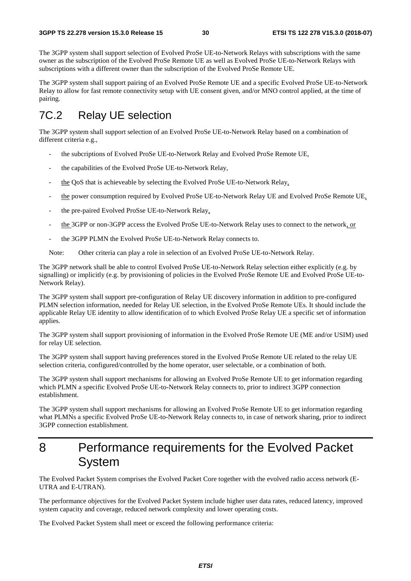The 3GPP system shall support selection of Evolved ProSe UE-to-Network Relays with subscriptions with the same owner as the subscription of the Evolved ProSe Remote UE as well as Evolved ProSe UE-to-Network Relays with subscriptions with a different owner than the subscription of the Evolved ProSe Remote UE.

The 3GPP system shall support pairing of an Evolved ProSe Remote UE and a specific Evolved ProSe UE-to-Network Relay to allow for fast remote connectivity setup with UE consent given, and/or MNO control applied, at the time of pairing.

### 7C.2 Relay UE selection

The 3GPP system shall support selection of an Evolved ProSe UE-to-Network Relay based on a combination of different criteria e.g.,

- the subcriptions of Evolved ProSe UE-to-Network Relay and Evolved ProSe Remote UE,
- the capabilities of the Evolved ProSe UE-to-Network Relay,
- the QoS that is achieveable by selecting the Evolved ProSe UE-to-Network Relay,
- the power consumption required by Evolved ProSe UE-to-Network Relay UE and Evolved ProSe Remote UE,
- the pre-paired Evolved ProSse UE-to-Network Relay,
- the 3GPP or non-3GPP access the Evolved ProSe UE-to-Network Relay uses to connect to the network, or
- the 3GPP PLMN the Evolved ProSe UE-to-Network Relay connects to.
- Note: Other criteria can play a role in selection of an Evolved ProSe UE-to-Network Relay.

The 3GPP network shall be able to control Evolved ProSe UE-to-Network Relay selection either explicitly (e.g. by signalling) or implicitly (e.g. by provisioning of policies in the Evolved ProSe Remote UE and Evolved ProSe UE-to-Network Relay).

The 3GPP system shall support pre-configuration of Relay UE discovery information in addition to pre-configured PLMN selection information, needed for Relay UE selection, in the Evolved ProSe Remote UEs. It should include the applicable Relay UE identity to allow identification of to which Evolved ProSe Relay UE a specific set of information applies.

The 3GPP system shall support provisioning of information in the Evolved ProSe Remote UE (ME and/or USIM) used for relay UE selection.

The 3GPP system shall support having preferences stored in the Evolved ProSe Remote UE related to the relay UE selection criteria, configured/controlled by the home operator, user selectable, or a combination of both.

The 3GPP system shall support mechanisms for allowing an Evolved ProSe Remote UE to get information regarding which PLMN a specific Evolved ProSe UE-to-Network Relay connects to, prior to indirect 3GPP connection establishment.

The 3GPP system shall support mechanisms for allowing an Evolved ProSe Remote UE to get information regarding what PLMNs a specific Evolved ProSe UE-to-Network Relay connects to, in case of network sharing, prior to indirect 3GPP connection establishment.

### 8 Performance requirements for the Evolved Packet System

The Evolved Packet System comprises the Evolved Packet Core together with the evolved radio access network (E-UTRA and E-UTRAN).

The performance objectives for the Evolved Packet System include higher user data rates, reduced latency, improved system capacity and coverage, reduced network complexity and lower operating costs.

The Evolved Packet System shall meet or exceed the following performance criteria: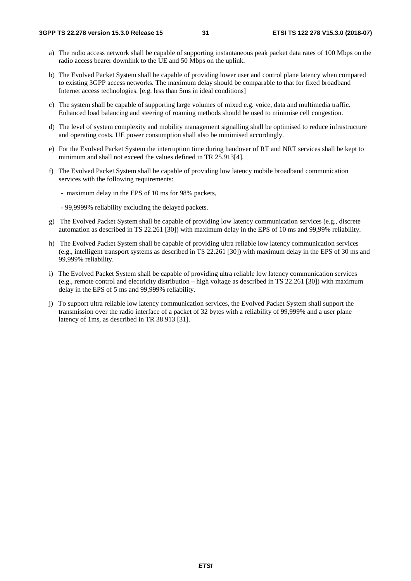- a) The radio access network shall be capable of supporting instantaneous peak packet data rates of 100 Mbps on the radio access bearer downlink to the UE and 50 Mbps on the uplink.
- b) The Evolved Packet System shall be capable of providing lower user and control plane latency when compared to existing 3GPP access networks. The maximum delay should be comparable to that for fixed broadband Internet access technologies. [e.g. less than 5ms in ideal conditions]
- c) The system shall be capable of supporting large volumes of mixed e.g. voice, data and multimedia traffic. Enhanced load balancing and steering of roaming methods should be used to minimise cell congestion.
- d) The level of system complexity and mobility management signalling shall be optimised to reduce infrastructure and operating costs. UE power consumption shall also be minimised accordingly.
- e) For the Evolved Packet System the interruption time during handover of RT and NRT services shall be kept to minimum and shall not exceed the values defined in TR 25.913[4].
- f) The Evolved Packet System shall be capable of providing low latency mobile broadband communication services with the following requirements:
	- maximum delay in the EPS of 10 ms for 98% packets,
	- 99,9999% reliability excluding the delayed packets.
- g) The Evolved Packet System shall be capable of providing low latency communication services (e.g., discrete automation as described in TS 22.261 [30]) with maximum delay in the EPS of 10 ms and 99,99% reliability.
- h) The Evolved Packet System shall be capable of providing ultra reliable low latency communication services (e.g., intelligent transport systems as described in TS 22.261 [30]) with maximum delay in the EPS of 30 ms and 99,999% reliability.
- i) The Evolved Packet System shall be capable of providing ultra reliable low latency communication services (e.g., remote control and electricity distribution – high voltage as described in TS 22.261 [30]) with maximum delay in the EPS of 5 ms and 99,999% reliability.
- j) To support ultra reliable low latency communication services, the Evolved Packet System shall support the transmission over the radio interface of a packet of 32 bytes with a reliability of 99,999% and a user plane latency of 1ms, as described in TR 38.913 [31].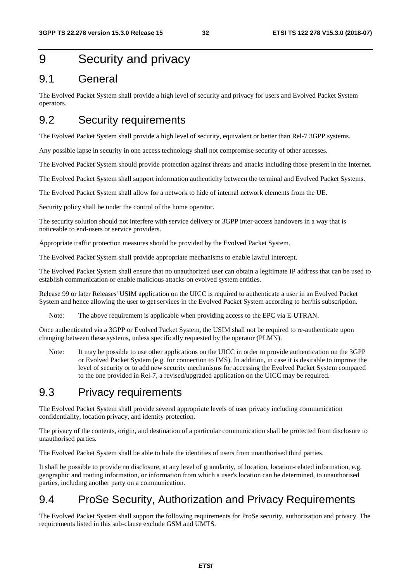### 9 Security and privacy

### 9.1 General

The Evolved Packet System shall provide a high level of security and privacy for users and Evolved Packet System operators.

### 9.2 Security requirements

The Evolved Packet System shall provide a high level of security, equivalent or better than Rel-7 3GPP systems.

Any possible lapse in security in one access technology shall not compromise security of other accesses.

The Evolved Packet System should provide protection against threats and attacks including those present in the Internet.

The Evolved Packet System shall support information authenticity between the terminal and Evolved Packet Systems.

The Evolved Packet System shall allow for a network to hide of internal network elements from the UE.

Security policy shall be under the control of the home operator.

The security solution should not interfere with service delivery or 3GPP inter-access handovers in a way that is noticeable to end-users or service providers.

Appropriate traffic protection measures should be provided by the Evolved Packet System.

The Evolved Packet System shall provide appropriate mechanisms to enable lawful intercept.

The Evolved Packet System shall ensure that no unauthorized user can obtain a legitimate IP address that can be used to establish communication or enable malicious attacks on evolved system entities.

Release 99 or later Releases' USIM application on the UICC is required to authenticate a user in an Evolved Packet System and hence allowing the user to get services in the Evolved Packet System according to her/his subscription.

Note: The above requirement is applicable when providing access to the EPC via E-UTRAN.

Once authenticated via a 3GPP or Evolved Packet System, the USIM shall not be required to re-authenticate upon changing between these systems, unless specifically requested by the operator (PLMN).

Note: It may be possible to use other applications on the UICC in order to provide authentication on the 3GPP or Evolved Packet System (e.g. for connection to IMS). In addition, in case it is desirable to improve the level of security or to add new security mechanisms for accessing the Evolved Packet System compared to the one provided in Rel-7, a revised/upgraded application on the UICC may be required.

### 9.3 Privacy requirements

The Evolved Packet System shall provide several appropriate levels of user privacy including communication confidentiality, location privacy, and identity protection.

The privacy of the contents, origin, and destination of a particular communication shall be protected from disclosure to unauthorised parties.

The Evolved Packet System shall be able to hide the identities of users from unauthorised third parties.

It shall be possible to provide no disclosure, at any level of granularity, of location, location-related information, e.g. geographic and routing information, or information from which a user's location can be determined, to unauthorised parties, including another party on a communication.

### 9.4 ProSe Security, Authorization and Privacy Requirements

The Evolved Packet System shall support the following requirements for ProSe security, authorization and privacy. The requirements listed in this sub-clause exclude GSM and UMTS.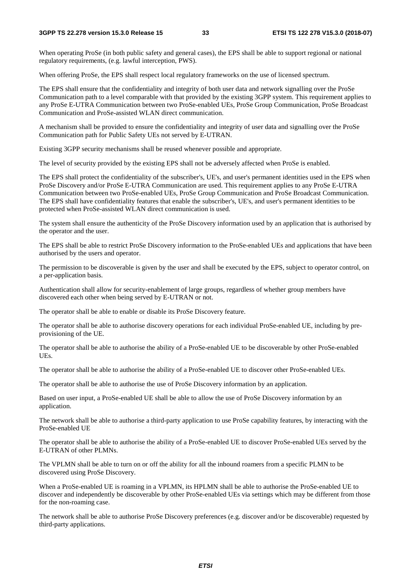#### **3GPP TS 22.278 version 15.3.0 Release 15 33 ETSI TS 122 278 V15.3.0 (2018-07)**

When operating ProSe (in both public safety and general cases), the EPS shall be able to support regional or national regulatory requirements, (e.g. lawful interception, PWS).

When offering ProSe, the EPS shall respect local regulatory frameworks on the use of licensed spectrum.

The EPS shall ensure that the confidentiality and integrity of both user data and network signalling over the ProSe Communication path to a level comparable with that provided by the existing 3GPP system. This requirement applies to any ProSe E-UTRA Communication between two ProSe-enabled UEs, ProSe Group Communication, ProSe Broadcast Communication and ProSe-assisted WLAN direct communication.

A mechanism shall be provided to ensure the confidentiality and integrity of user data and signalling over the ProSe Communication path for Public Safety UEs not served by E-UTRAN.

Existing 3GPP security mechanisms shall be reused whenever possible and appropriate.

The level of security provided by the existing EPS shall not be adversely affected when ProSe is enabled.

The EPS shall protect the confidentiality of the subscriber's, UE's, and user's permanent identities used in the EPS when ProSe Discovery and/or ProSe E-UTRA Communication are used. This requirement applies to any ProSe E-UTRA Communication between two ProSe-enabled UEs, ProSe Group Communication and ProSe Broadcast Communication. The EPS shall have confidentiality features that enable the subscriber's, UE's, and user's permanent identities to be protected when ProSe-assisted WLAN direct communication is used.

The system shall ensure the authenticity of the ProSe Discovery information used by an application that is authorised by the operator and the user.

The EPS shall be able to restrict ProSe Discovery information to the ProSe-enabled UEs and applications that have been authorised by the users and operator.

The permission to be discoverable is given by the user and shall be executed by the EPS, subject to operator control, on a per-application basis.

Authentication shall allow for security-enablement of large groups, regardless of whether group members have discovered each other when being served by E-UTRAN or not.

The operator shall be able to enable or disable its ProSe Discovery feature.

The operator shall be able to authorise discovery operations for each individual ProSe-enabled UE, including by preprovisioning of the UE.

The operator shall be able to authorise the ability of a ProSe-enabled UE to be discoverable by other ProSe-enabled UEs.

The operator shall be able to authorise the ability of a ProSe-enabled UE to discover other ProSe-enabled UEs.

The operator shall be able to authorise the use of ProSe Discovery information by an application.

Based on user input, a ProSe-enabled UE shall be able to allow the use of ProSe Discovery information by an application.

The network shall be able to authorise a third-party application to use ProSe capability features, by interacting with the ProSe-enabled UE

The operator shall be able to authorise the ability of a ProSe-enabled UE to discover ProSe-enabled UEs served by the E-UTRAN of other PLMNs.

The VPLMN shall be able to turn on or off the ability for all the inbound roamers from a specific PLMN to be discovered using ProSe Discovery.

When a ProSe-enabled UE is roaming in a VPLMN, its HPLMN shall be able to authorise the ProSe-enabled UE to discover and independently be discoverable by other ProSe-enabled UEs via settings which may be different from those for the non-roaming case.

The network shall be able to authorise ProSe Discovery preferences (e.g. discover and/or be discoverable) requested by third-party applications.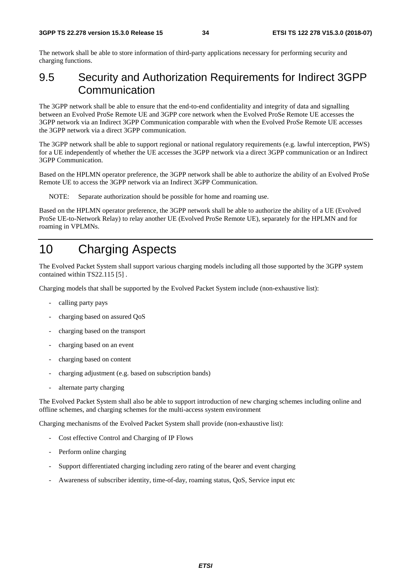The network shall be able to store information of third-party applications necessary for performing security and charging functions.

### 9.5 Security and Authorization Requirements for Indirect 3GPP Communication

The 3GPP network shall be able to ensure that the end-to-end confidentiality and integrity of data and signalling between an Evolved ProSe Remote UE and 3GPP core network when the Evolved ProSe Remote UE accesses the 3GPP network via an Indirect 3GPP Communication comparable with when the Evolved ProSe Remote UE accesses the 3GPP network via a direct 3GPP communication.

The 3GPP network shall be able to support regional or national regulatory requirements (e.g. lawful interception, PWS) for a UE independently of whether the UE accesses the 3GPP network via a direct 3GPP communication or an Indirect 3GPP Communication.

Based on the HPLMN operator preference, the 3GPP network shall be able to authorize the ability of an Evolved ProSe Remote UE to access the 3GPP network via an Indirect 3GPP Communication.

NOTE: Separate authorization should be possible for home and roaming use.

Based on the HPLMN operator preference, the 3GPP network shall be able to authorize the ability of a UE (Evolved ProSe UE-to-Network Relay) to relay another UE (Evolved ProSe Remote UE), separately for the HPLMN and for roaming in VPLMNs.

### 10 Charging Aspects

The Evolved Packet System shall support various charging models including all those supported by the 3GPP system contained within TS22.115 [5] .

Charging models that shall be supported by the Evolved Packet System include (non-exhaustive list):

- calling party pays
- charging based on assured QoS
- charging based on the transport
- charging based on an event
- charging based on content
- charging adjustment (e.g. based on subscription bands)
- alternate party charging

The Evolved Packet System shall also be able to support introduction of new charging schemes including online and offline schemes, and charging schemes for the multi-access system environment

Charging mechanisms of the Evolved Packet System shall provide (non-exhaustive list):

- Cost effective Control and Charging of IP Flows
- Perform online charging
- Support differentiated charging including zero rating of the bearer and event charging
- Awareness of subscriber identity, time-of-day, roaming status, QoS, Service input etc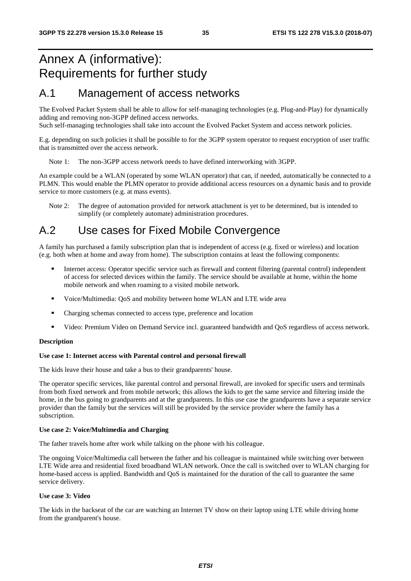### Annex A (informative): Requirements for further study

### A.1 Management of access networks

The Evolved Packet System shall be able to allow for self-managing technologies (e.g. Plug-and-Play) for dynamically adding and removing non-3GPP defined access networks.

Such self-managing technologies shall take into account the Evolved Packet System and access network policies.

E.g. depending on such policies it shall be possible to for the 3GPP system operator to request encryption of user traffic that is transmitted over the access network.

Note 1: The non-3GPP access network needs to have defined interworking with 3GPP.

An example could be a WLAN (operated by some WLAN operator) that can, if needed, automatically be connected to a PLMN. This would enable the PLMN operator to provide additional access resources on a dynamic basis and to provide service to more customers (e.g. at mass events).

Note 2: The degree of automation provided for network attachment is yet to be determined, but is intended to simplify (or completely automate) administration procedures.

### A.2 Use cases for Fixed Mobile Convergence

A family has purchased a family subscription plan that is independent of access (e.g. fixed or wireless) and location (e.g. both when at home and away from home). The subscription contains at least the following components:

- Internet access: Operator specific service such as firewall and content filtering (parental control) independent of access for selected devices within the family. The service should be available at home, within the home mobile network and when roaming to a visited mobile network.
- Voice/Multimedia: QoS and mobility between home WLAN and LTE wide area<br>Charging schemas connected to access type, preference and location
- Charging schemas connected to access type, preference and location<br>■ Video: Premium Video on Demand Service incl. quaranteed bandwide
- Video: Premium Video on Demand Service incl. guaranteed bandwidth and QoS regardless of access network.

#### **Description**

#### **Use case 1: Internet access with Parental control and personal firewall**

The kids leave their house and take a bus to their grandparents' house.

The operator specific services, like parental control and personal firewall, are invoked for specific users and terminals from both fixed network and from mobile network; this allows the kids to get the same service and filtering inside the home, in the bus going to grandparents and at the grandparents. In this use case the grandparents have a separate service provider than the family but the services will still be provided by the service provider where the family has a subscription.

#### **Use case 2: Voice/Multimedia and Charging**

The father travels home after work while talking on the phone with his colleague.

The ongoing Voice/Multimedia call between the father and his colleague is maintained while switching over between LTE Wide area and residential fixed broadband WLAN network. Once the call is switched over to WLAN charging for home-based access is applied. Bandwidth and QoS is maintained for the duration of the call to guarantee the same service delivery.

#### **Use case 3: Video**

The kids in the backseat of the car are watching an Internet TV show on their laptop using LTE while driving home from the grandparent's house.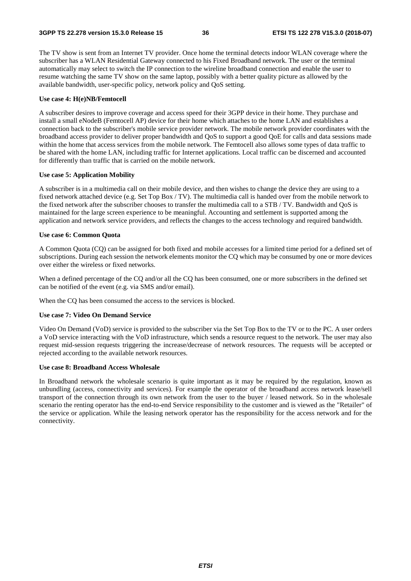The TV show is sent from an Internet TV provider. Once home the terminal detects indoor WLAN coverage where the subscriber has a WLAN Residential Gateway connected to his Fixed Broadband network. The user or the terminal automatically may select to switch the IP connection to the wireline broadband connection and enable the user to resume watching the same TV show on the same laptop, possibly with a better quality picture as allowed by the available bandwidth, user-specific policy, network policy and QoS setting.

#### **Use case 4: H(e)NB/Femtocell**

A subscriber desires to improve coverage and access speed for their 3GPP device in their home. They purchase and install a small eNodeB (Femtocell AP) device for their home which attaches to the home LAN and establishes a connection back to the subscriber's mobile service provider network. The mobile network provider coordinates with the broadband access provider to deliver proper bandwidth and QoS to support a good QoE for calls and data sessions made within the home that access services from the mobile network. The Femtocell also allows some types of data traffic to be shared with the home LAN, including traffic for Internet applications. Local traffic can be discerned and accounted for differently than traffic that is carried on the mobile network.

#### **Use case 5: Application Mobility**

A subscriber is in a multimedia call on their mobile device, and then wishes to change the device they are using to a fixed network attached device (e.g. Set Top Box / TV). The multimedia call is handed over from the mobile network to the fixed network after the subscriber chooses to transfer the multimedia call to a STB / TV. Bandwidth and QoS is maintained for the large screen experience to be meaningful. Accounting and settlement is supported among the application and network service providers, and reflects the changes to the access technology and required bandwidth.

#### **Use case 6: Common Quota**

A Common Quota (CQ) can be assigned for both fixed and mobile accesses for a limited time period for a defined set of subscriptions. During each session the network elements monitor the CQ which may be consumed by one or more devices over either the wireless or fixed networks.

When a defined percentage of the CO and/or all the CO has been consumed, one or more subscribers in the defined set can be notified of the event (e.g. via SMS and/or email).

When the CO has been consumed the access to the services is blocked.

#### **Use case 7: Video On Demand Service**

Video On Demand (VoD) service is provided to the subscriber via the Set Top Box to the TV or to the PC. A user orders a VoD service interacting with the VoD infrastructure, which sends a resource request to the network. The user may also request mid-session requests triggering the increase/decrease of network resources. The requests will be accepted or rejected according to the available network resources.

#### **Use case 8: Broadband Access Wholesale**

In Broadband network the wholesale scenario is quite important as it may be required by the regulation, known as unbundling (access, connectivity and services). For example the operator of the broadband access network lease/sell transport of the connection through its own network from the user to the buyer / leased network. So in the wholesale scenario the renting operator has the end-to-end Service responsibility to the customer and is viewed as the "Retailer" of the service or application. While the leasing network operator has the responsibility for the access network and for the connectivity.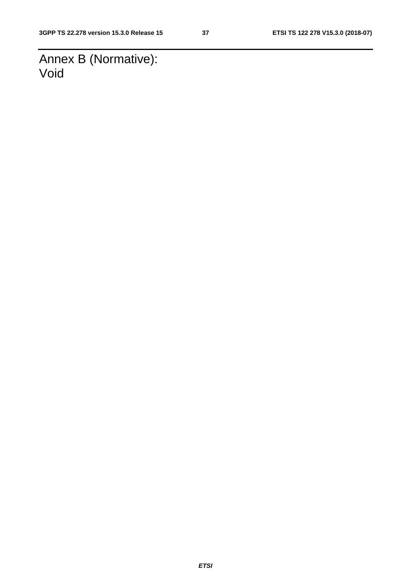Annex B (Normative): Void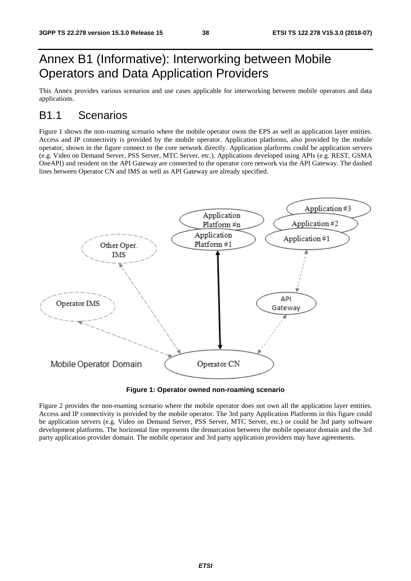### Annex B1 (Informative): Interworking between Mobile Operators and Data Application Providers

This Annex provides various scenarios and use cases applicable for interworking between mobile operators and data applications.

### B1.1 Scenarios

Figure 1 shows the non-roaming scenario where the mobile operator owns the EPS as well as application layer entities. Access and IP connectivity is provided by the mobile operator. Application platforms, also provided by the mobile operator, shown in the figure connect to the core network directly. Application platforms could be application servers (e.g. Video on Demand Server, PSS Server, MTC Server, etc.). Applications developed using APIs (e.g. REST, GSMA OneAPI) and resident on the API Gateway are connected to the operator core network via the API Gateway. The dashed lines between Operator CN and IMS as well as API Gateway are already specified.



**Figure 1: Operator owned non-roaming scenario** 

Figure 2 provides the non-roaming scenario where the mobile operator does not own all the application layer entities. Access and IP connectivity is provided by the mobile operator. The 3rd party Application Platforms in this figure could be application servers (e.g. Video on Demand Server, PSS Server, MTC Server, etc.) or could be 3rd party software development platforms. The horizontal line represents the demarcation between the mobile operator domain and the 3rd party application provider domain. The mobile operator and 3rd party application providers may have agreements.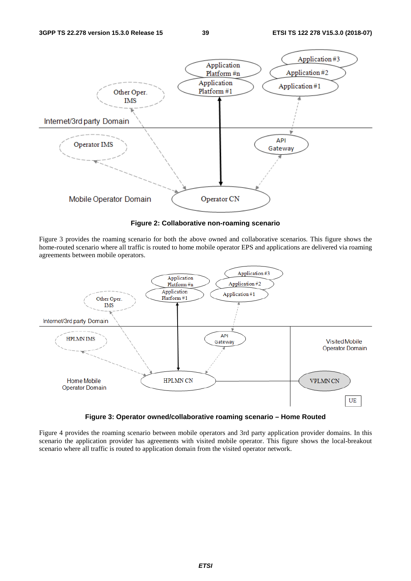

**Figure 2: Collaborative non-roaming scenario** 

Figure 3 provides the roaming scenario for both the above owned and collaborative scenarios. This figure shows the home-routed scenario where all traffic is routed to home mobile operator EPS and applications are delivered via roaming agreements between mobile operators.



**Figure 3: Operator owned/collaborative roaming scenario – Home Routed** 

Figure 4 provides the roaming scenario between mobile operators and 3rd party application provider domains. In this scenario the application provider has agreements with visited mobile operator. This figure shows the local-breakout scenario where all traffic is routed to application domain from the visited operator network.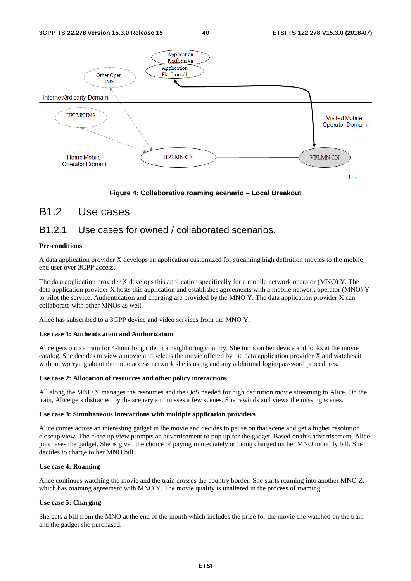

#### **Figure 4: Collaborative roaming scenario – Local Breakout**

#### B1.2 Use cases

#### B1.2.1 Use cases for owned / collaborated scenarios.

#### **Pre-conditions**

A data application provider X develops an application customized for streaming high definition movies to the mobile end user over 3GPP access.

The data application provider X develops this application specifically for a mobile network operator (MNO) Y. The data application provider X hosts this application and establishes agreements with a mobile network operator (MNO) Y to pilot the service. Authentication and charging are provided by the MNO Y. The data application provider X can collaborate with other MNOs as well.

Alice has subscribed to a 3GPP device and video services from the MNO Y.

#### **Use case 1: Authentication and Authorization**

Alice gets onto a train for 4-hour long ride to a neighboring country. She turns on her device and looks at the movie catalog. She decides to view a movie and selects the movie offered by the data application provider X and watches it without worrying about the radio access network she is using and any additional login/password procedures.

#### **Use case 2: Allocation of resources and other policy interactions**

All along the MNO Y manages the resources and the QoS needed for high definition movie streaming to Alice. On the train, Alice gets distracted by the scenery and misses a few scenes. She rewinds and views the missing scenes.

#### **Use case 3: Simultaneous interactions with multiple application providers**

Alice comes across an interesting gadget in the movie and decides to pause on that scene and get a higher resolution closeup view. The close up view prompts an advertisement to pop up for the gadget. Based on this advertisement, Alice purchases the gadget. She is given the choice of paying immediately or being charged on her MNO monthly bill. She decides to charge to her MNO bill.

#### **Use case 4: Roaming**

Alice continues watching the movie and the train crosses the country border. She starts roaming into another MNO Z, which has roaming agreement with MNO Y. The movie quality is unaltered in the process of roaming.

#### **Use case 5: Charging**

She gets a bill from the MNO at the end of the month which includes the price for the movie she watched on the train and the gadget she purchased.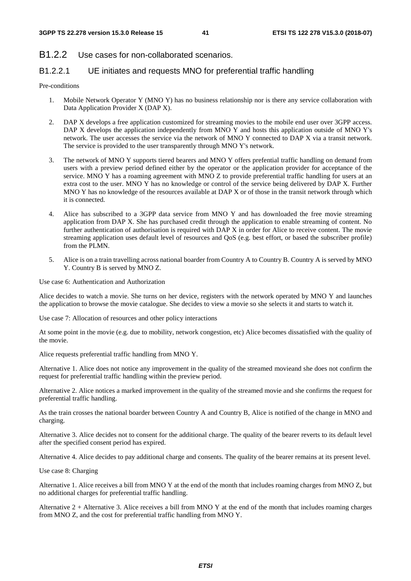#### B1.2.2 Use cases for non-collaborated scenarios.

#### B1.2.2.1 UE initiates and requests MNO for preferential traffic handling

#### Pre-conditions

- 1. Mobile Network Operator Y (MNO Y) has no business relationship nor is there any service collaboration with Data Application Provider X (DAP X).
- 2. DAP X develops a free application customized for streaming movies to the mobile end user over 3GPP access. DAP X develops the application independently from MNO Y and hosts this application outside of MNO Y's network. The user accesses the service via the network of MNO Y connected to DAP X via a transit network. The service is provided to the user transparently through MNO Y's network.
- 3. The network of MNO Y supports tiered bearers and MNO Y offers prefential traffic handling on demand from users with a preview period defined either by the operator or the application provider for acceptance of the service. MNO Y has a roaming agreement with MNO Z to provide preferential traffic handling for users at an extra cost to the user. MNO Y has no knowledge or control of the service being delivered by DAP X. Further MNO Y has no knowledge of the resources available at DAP X or of those in the transit network through which it is connected.
- 4. Alice has subscribed to a 3GPP data service from MNO Y and has downloaded the free movie streaming application from DAP X. She has purchased credit through the application to enable streaming of content. No further authentication of authorisation is required with DAP X in order for Alice to receive content. The movie streaming application uses default level of resources and QoS (e.g. best effort, or based the subscriber profile) from the PLMN.
- 5. Alice is on a train travelling across national boarder from Country A to Country B. Country A is served by MNO Y. Country B is served by MNO Z.

Use case 6: Authentication and Authorization

Alice decides to watch a movie. She turns on her device, registers with the network operated by MNO Y and launches the application to browse the movie catalogue. She decides to view a movie so she selects it and starts to watch it.

Use case 7: Allocation of resources and other policy interactions

At some point in the movie (e.g. due to mobility, network congestion, etc) Alice becomes dissatisfied with the quality of the movie.

Alice requests preferential traffic handling from MNO Y.

Alternative 1. Alice does not notice any improvement in the quality of the streamed movieand she does not confirm the request for preferential traffic handling within the preview period.

Alternative 2. Alice notices a marked improvement in the quality of the streamed movie and she confirms the request for preferential traffic handling.

As the train crosses the national boarder between Country A and Country B, Alice is notified of the change in MNO and charging.

Alternative 3. Alice decides not to consent for the additional charge. The quality of the bearer reverts to its default level after the specified consent period has expired.

Alternative 4. Alice decides to pay additional charge and consents. The quality of the bearer remains at its present level.

Use case 8: Charging

Alternative 1. Alice receives a bill from MNO Y at the end of the month that includes roaming charges from MNO Z, but no additional charges for preferential traffic handling.

Alternative  $2 +$  Alternative 3. Alice receives a bill from MNO Y at the end of the month that includes roaming charges from MNO Z, and the cost for preferential traffic handling from MNO Y.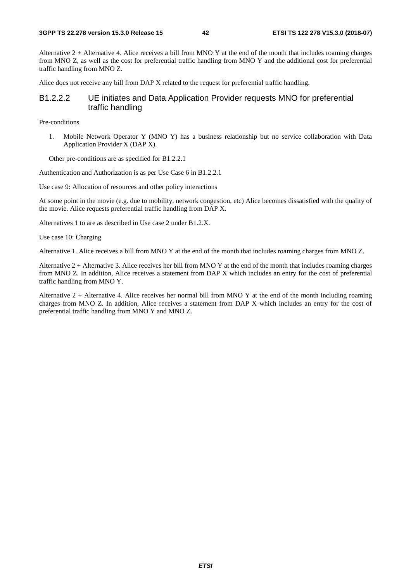Alternative  $2 +$  Alternative 4. Alice receives a bill from MNO Y at the end of the month that includes roaming charges from MNO Z, as well as the cost for preferential traffic handling from MNO Y and the additional cost for preferential traffic handling from MNO Z.

Alice does not receive any bill from DAP X related to the request for preferential traffic handling.

#### B1.2.2.2 UE initiates and Data Application Provider requests MNO for preferential traffic handling

Pre-conditions

1. Mobile Network Operator Y (MNO Y) has a business relationship but no service collaboration with Data Application Provider X (DAP X).

Other pre-conditions are as specified for B1.2.2.1

Authentication and Authorization is as per Use Case 6 in B1.2.2.1

Use case 9: Allocation of resources and other policy interactions

At some point in the movie (e.g. due to mobility, network congestion, etc) Alice becomes dissatisfied with the quality of the movie. Alice requests preferential traffic handling from DAP X.

Alternatives 1 to are as described in Use case 2 under B1.2.X.

Use case 10: Charging

Alternative 1. Alice receives a bill from MNO Y at the end of the month that includes roaming charges from MNO Z.

Alternative  $2 +$  Alternative 3. Alice receives her bill from MNO Y at the end of the month that includes roaming charges from MNO Z. In addition, Alice receives a statement from DAP X which includes an entry for the cost of preferential traffic handling from MNO Y.

Alternative 2 + Alternative 4. Alice receives her normal bill from MNO Y at the end of the month including roaming charges from MNO Z. In addition, Alice receives a statement from DAP X which includes an entry for the cost of preferential traffic handling from MNO Y and MNO Z.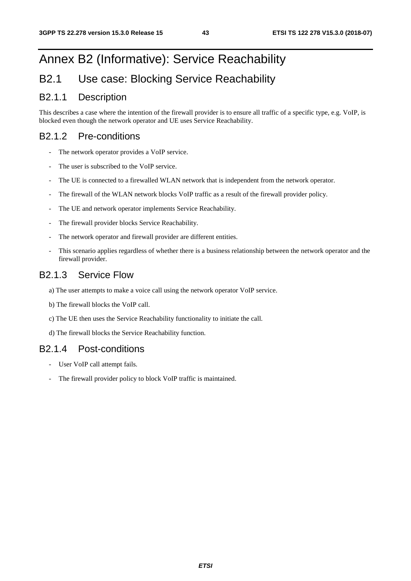## Annex B2 (Informative): Service Reachability

### B2.1 Use case: Blocking Service Reachability

#### B2.1.1 Description

This describes a case where the intention of the firewall provider is to ensure all traffic of a specific type, e.g. VoIP, is blocked even though the network operator and UE uses Service Reachability.

#### B2.1.2 Pre-conditions

- The network operator provides a VoIP service.
- The user is subscribed to the VoIP service.
- The UE is connected to a firewalled WLAN network that is independent from the network operator.
- The firewall of the WLAN network blocks VoIP traffic as a result of the firewall provider policy.
- The UE and network operator implements Service Reachability.
- The firewall provider blocks Service Reachability.
- The network operator and firewall provider are different entities.
- This scenario applies regardless of whether there is a business relationship between the network operator and the firewall provider.

#### B2.1.3 Service Flow

- a) The user attempts to make a voice call using the network operator VoIP service.
- b) The firewall blocks the VoIP call.
- c) The UE then uses the Service Reachability functionality to initiate the call.
- d) The firewall blocks the Service Reachability function.

#### B2.1.4 Post-conditions

- User VoIP call attempt fails.
- The firewall provider policy to block VoIP traffic is maintained.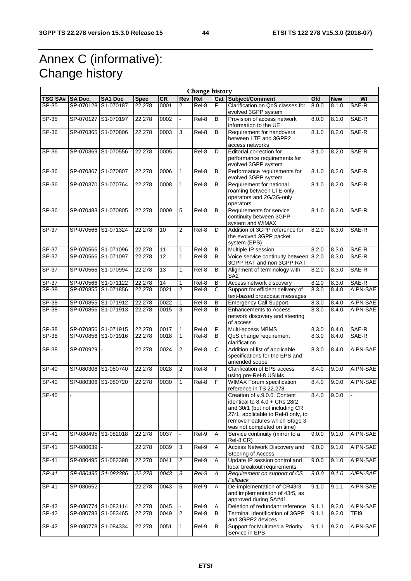## Annex C (informative): Change history

|                | <b>Change history</b> |                     |             |           |                |                    |                       |                                                                                                                                                                                                        |       |            |                |
|----------------|-----------------------|---------------------|-------------|-----------|----------------|--------------------|-----------------------|--------------------------------------------------------------------------------------------------------------------------------------------------------------------------------------------------------|-------|------------|----------------|
| <b>TSG SA#</b> | <b>SA Doc.</b>        | SA1 Doc             | <b>Spec</b> | <b>CR</b> | Rev            | Rel                |                       | Cat Subject/Comment                                                                                                                                                                                    | Old   | <b>New</b> | WI             |
| $SP-35$        | SP-070128             | S1-070187           | 22.278      | 0001      | $\overline{2}$ | Rel-8              | F                     | Clarification on QoS classes for<br>evolved 3GPP system                                                                                                                                                | 8.0.0 | 8.1.0      | SAE-R          |
| $SP-35$        | SP-070127             | S1-070197           | 22.278      | 0002      | $\blacksquare$ | Rel-8              | $\overline{B}$        | Provision of access network<br>information to the UE                                                                                                                                                   | 8.0.0 | 8.1.0      | SAE-R          |
| $SP-36$        | SP-070365             | S1-070806           | 22.278      | 0003      | $\overline{3}$ | $Rel-8$            | B                     | Requirement for handovers<br>between LTE and 3GPP2<br>access networks                                                                                                                                  | 8.1.0 | 8.2.0      | SAE-R          |
| SP-36          |                       | SP-070369 S1-070556 | 22.278      | 0005      |                | $Rel-8$            | D                     | Editorial correction for<br>performance requirements for<br>evolved 3GPP system                                                                                                                        | 8.1.0 | 8.2.0      | SAE-R          |
| SP-36          |                       | SP-070367 S1-070807 | 22.278      | 0006      | $\mathbf{1}$   | Rel-8              | B                     | Performance requirements for<br>evolved 3GPP system                                                                                                                                                    | 8.1.0 | 8.2.0      | SAE-R          |
| SP-36          |                       | SP-070370 S1-070764 | 22.278      | 0008      | $\mathbf{1}$   | Rel-8              | B                     | Requirement for national<br>roaming between LTE-only<br>operators and 2G/3G-only<br>operators                                                                                                          | 8.1.0 | 8.2.0      | SAE-R          |
| $SP-36$        |                       | SP-070483 S1-070805 | 22.278      | 0009      | 5              | Rel-8              | В                     | Requirements for service<br>continuity between 3GPP<br>system and WiMAX                                                                                                                                | 8.1.0 | 8.2.0      | SAE-R          |
| $SP-37$        |                       | SP-070566 S1-071324 | 22.278      | 10        | 2              | Rel-8              | D                     | Addition of 3GPP reference for<br>the evolved 3GPP packet<br>system (EPS)                                                                                                                              | 8.2.0 | 8.3.0      | SAE-R          |
| SP-37          |                       | SP-070566 S1-071096 | 22.278      | 11        | 1              | Rel-8              | B                     | Multiple IP session                                                                                                                                                                                    | 8.2.0 | 8.3.0      | SAE-R          |
| SP-37          |                       | SP-070566 S1-071097 | 22.278      | 12        | 1              | Rel-8              | в                     | Voice service continuity between<br>3GPP RAT and non 3GPP RAT                                                                                                                                          | 8.2.0 | 8.3.0      | SAE-R          |
| SP-37          |                       | SP-070566 S1-070994 | 22.278      | 13        | 1              | Rel-8              | B                     | Alignment of terminology with<br>SA <sub>2</sub>                                                                                                                                                       | 8.2.0 | 8.3.0      | SAE-R          |
| SP-37          |                       | SP-070566 S1-071122 | 22.278      | 14        | 1              | Rel-8              | B                     | Access network discovery                                                                                                                                                                               | 8.2.0 | 8.3.0      | SAE-R          |
| $SP-38$        |                       | SP-070855 S1-071856 | 22.278      | 0021      | $\overline{2}$ | Rel-8              | $\overline{\text{c}}$ | Support for efficient delivery of<br>text-based broadcast messages                                                                                                                                     | 8.3.0 | 8.4.0      | AIPN-SAE       |
| SP-38          |                       | SP-070855 S1-071912 | 22.278      | 0022      | 1              | $ReI-8$            | B                     | <b>Emergency Call Support</b>                                                                                                                                                                          | 8.3.0 | 8.4.0      | AIPN-SAE       |
| SP-38          |                       | SP-070856 S1-071913 | 22.278      | 0015      | 3              | Rel-8              | B                     | <b>Enhancements to Access</b><br>network discovery and steering<br>of access                                                                                                                           | 8.3.0 | 8.4.0      | AIPN-SAE       |
| SP-38          |                       | SP-070856 S1-071915 | 22.278      | 0017      | 1              | Rel-8              | F                     | Multi-access MBMS                                                                                                                                                                                      | 8.3.0 | 8.4.0      | SAE-R          |
| SP-38          |                       | SP-070856 S1-071916 | 22.278      | 0018      | 1              | Rel-8              | В                     | QoS change requirement<br>clarification                                                                                                                                                                | 8.3.0 | 8.4.0      | SAE-R          |
| $SP-38$        | SP-070929 -           |                     | 22.278      | 0024      | 2              | Rel-8              | С                     | Addition of list of applicable<br>specifications for the EPS and<br>amended scope                                                                                                                      | 8.3.0 | 8.4.0      | AIPN-SAE       |
| <b>SP-40</b>   |                       | SP-080306 S1-080740 | 22.278      | 0028      | $\overline{2}$ | Rel-8              | F                     | Clarification of EPS access<br>using pre-Rel-8 USIMs                                                                                                                                                   | 8.4.0 | 9.0.0      | AIPN-SAE       |
| SP-40          |                       | SP-080306 S1-080720 | 22.278      | 0030      | $\mathbf{1}$   | Rel-8              | F                     | <b>WIMAX Forum specification</b><br>reference in TS 22.278                                                                                                                                             | 8.4.0 | 9.0.0      | AIPN-SAE       |
| SP-40          |                       |                     |             |           |                |                    |                       | Creation of v.9.0.0. Content<br>identical to $8.4.0 + CRs$ 28r2<br>and 30r1 (but not including CR<br>27r1, applicable to Rel-8 only, to<br>remove Features which Stage 3<br>was not completed on time) | 8.4.0 | 9.0.0      | $\blacksquare$ |
| $SP-41$        |                       | SP-080495 S1-082018 | 22.278      | 0037      | $\overline{a}$ | Rel-9              | A                     | Service continuity (mirror to a<br>Rel-8 CR)                                                                                                                                                           | 9.0.0 | 9.1.0      | AIPN-SAE       |
| $SP-41$        | SP-080639 -           |                     | 22.278      | 0039      | $\mathbf{3}$   | Rel-9              | Α                     | Access Network Discovery and<br>Steering of Access                                                                                                                                                     | 9.0.0 | 9.1.0      | AIPN-SAE       |
| SP-41          |                       | SP-080495 S1-082398 | 22.278      | 0041      | $\overline{2}$ | Rel-9              | A                     | Update IP session control and<br>local breakout requirements                                                                                                                                           | 9.0.0 | 9.1.0      | AIPN-SAE       |
| $SP-41$        |                       | SP-080495 S1-082386 | 22.278      | 0043      | 3              | Rel-9              | А                     | Requirement on support of CS<br>Fallback                                                                                                                                                               | 9.0.0 | 9.1.0      | AIPN-SAE       |
| SP-41          | SP-080652             |                     | 22.278      | 0043      | 5              | Rel-9              | Α                     | De-implementation of CR43r3<br>and implementation of 43r5, as<br>approved during SA#41                                                                                                                 | 9.1.0 | 9.1.1      | AIPN-SAE       |
| $SP-42$        |                       | SP-080774 S1-083114 | 22.278      | 0045      |                | Rel-9              | A                     | Deletion of redundant reference                                                                                                                                                                        | 9.1.1 | 9.2.0      | AIPN-SAE       |
| SP-42          |                       | SP-080783 S1-083465 | 22.278      | 0049      | $\overline{2}$ | Rel-9              | B                     | Terminal Identification of 3GPP<br>and 3GPP2 devices                                                                                                                                                   | 9.1.1 | 9.2.0      | TEI9           |
| SP-42          |                       | SP-080778 S1-084334 | 22.278      | 0051      | $\mathbf{1}$   | $\overline{Rel.9}$ | В                     | Support for Multimedia Priority<br>Service in EPS                                                                                                                                                      | 9.1.1 | 9.2.0      | AIPN-SAE       |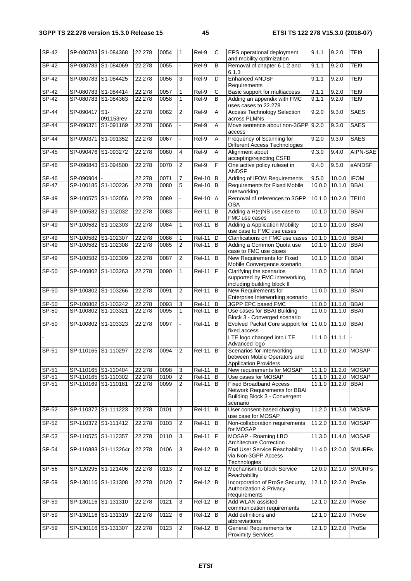| $SP-42$      |                     | SP-080783 S1-084368  | 22.278 | 0054 | $\mathbf{1}$   | Rel-9         | C              | EPS operational deployment<br>and mobility optimization                                                     | 9.1.1  | 9.2.0               | TEI9                |
|--------------|---------------------|----------------------|--------|------|----------------|---------------|----------------|-------------------------------------------------------------------------------------------------------------|--------|---------------------|---------------------|
| <b>SP-42</b> |                     | SP-080783 S1-084069  | 22.278 | 0055 |                | Rel-9         | В              | Removal of chapter 6.1.2 and<br>6.1.3                                                                       | 9.1.1  | 9.2.0               | TEI9                |
| <b>SP-42</b> |                     | SP-080783 S1-084425  | 22.278 | 0056 | 3              | Rel-9         | D              | <b>Enhanced ANDSF</b><br>Requirements                                                                       | 9.1.1  | 9.2.0               | TEI9                |
| SP-42        | SP-080783 S1-084414 |                      | 22.278 | 0057 | 1              | Rel-9         | С              | Basic support for multiaccess                                                                               | 9.1.1  | 9.2.0               | TEI9                |
| $SP-42$      |                     | SP-080783 S1-084363  | 22.278 | 0058 | 1              | Rel-9         | B              | Adding an appendix with FMC<br>uses cases to 22.278                                                         | 9.1.1  | 9.2.0               | TEI9                |
| <b>SP-44</b> | SP-090417           | S1<br>091153rev      | 22.278 | 0062 | 2              | Rel-9         | Α              | <b>Access Technology Selection</b><br>across PLMNs                                                          | 9.2.0  | 9.3.0               | <b>SAES</b>         |
| $SP-44$      | SP-090371           | S1-091169            | 22.278 | 0066 |                | Rel-9         | A              | Move sentence about non-3GPP<br>access                                                                      | 9.2.0  | 9.3.0               | <b>SAES</b>         |
| <b>SP-44</b> | SP-090371           | S1-091352            | 22.278 | 0067 |                | Rel-9         | A              | Frequency of Scanning for<br>Different Access Technologies                                                  | 9.2.0  | 9.3.0               | <b>SAES</b>         |
| <b>SP-45</b> |                     | SP-090476 S1-093272  | 22.278 | 0060 | 4              | Rel-9         | A              | Alignment about<br>accepting/rejecting CSFB                                                                 | 9.3.0  | 9.4.0               | AIPN-SAE            |
| SP-46        | SP-090843           | S1-094500            | 22.278 | 0070 | $\overline{2}$ | Rel-9         | F              | One active policy ruleset in<br><b>ANDSF</b>                                                                | 9.4.0  | 9.5.0               | eANDSF              |
| SP-46        | SP-090904           |                      | 22.278 | 0071 | $\overline{7}$ | <b>Rel-10</b> | B              | Adding of IFOM Requirements                                                                                 | 9.5.0  | 10.0.0              | <b>IFOM</b>         |
| <b>SP-47</b> | SP-100185 S1-100236 |                      | 22.278 | 0080 | 5              | <b>Rel-10</b> | B              | Requirements for Fixed Mobile<br>Interworking                                                               | 10.0.0 | 10.1.0              | <b>BBAI</b>         |
| $SP-49$      | SP-100575           | S1-102056            | 22.278 | 0089 |                | <b>Rel-10</b> | $\overline{A}$ | Removal of references to 3GPP<br><b>OSA</b>                                                                 | 10.1.0 | 10.2.0              | <b>TEI10</b>        |
| SP-49        |                     | SP-100582 S1-102032  | 22.278 | 0083 |                | <b>Rel-11</b> | Iв             | Adding a H(e)NB use case to<br>FMC use cases                                                                | 10.1.0 | 11.0.0              | <b>BBAI</b>         |
| SP-49        |                     | SP-100582 S1-102303  | 22.278 | 0084 | $\mathbf{1}$   | <b>Rel-11</b> | B              | <b>Adding a Application Mobility</b><br>use case to FMC use cases                                           | 10.1.0 | 11.0.0              | <b>BBAI</b>         |
| SP-49        | SP-100582 S1-102307 |                      | 22.278 | 0086 | 1              | $Rel-11$ D    |                | Clarifications on FMC use cases                                                                             |        | 10.1.0 11.0.0 BBAI  |                     |
| $SP-49$      |                     | SP-100582 S1-102308  | 22.278 | 0085 | $\overline{2}$ | <b>Rel-11</b> | Iв             | Adding a Common Quota use<br>case to FMC use cases                                                          | 10.1.0 | 11.0.0              | <b>BBAI</b>         |
| $SP-49$      |                     | SP-100582 S1-102309  | 22.278 | 0087 | $\overline{2}$ | <b>Rel-11</b> | B              | New Requirements for Fixed<br>Mobile Convergence scenario                                                   | 10.1.0 | 11.0.0              | <b>BBAI</b>         |
| $SP-50$      |                     | SP-100802 S1-103263  | 22.278 | 0090 | 1              | $Rel-11$ $F$  |                | Clarifying the scenarios<br>supported by FMC interworking,<br>including building block II                   |        | 11.0.0 11.1.0       | <b>BBAI</b>         |
| SP-50        |                     | SP-100802 S1-103266  | 22.278 | 0091 | 2              | <b>Rel-11</b> | Iв             | New Requirements for<br>Enterprise Interworking scenario                                                    | 11.0.0 | 11.1.0              | <b>BBAI</b>         |
| $SP-50$      |                     | SP-100802 S1-103242  | 22.278 | 0093 | 3              | $Rel-11$ B    |                | 3GPP EPC based FMC                                                                                          |        | 11.0.0 11.1.0 BBAI  |                     |
| SP-50        | SP-100802 S1-103321 |                      | 22.278 | 0095 | $\mathbf{1}$   | $Rel-11$ B    |                | Use cases for BBAI Building<br>Block 3 - Converged scenario                                                 | 11.0.0 | 11.1.0              | <b>BBAI</b>         |
| SP-50        |                     | SP-100802 S1-103323  | 22.278 | 0097 |                | <b>Rel-11</b> | <b>B</b>       | Evolved Packet Core support for 11.0.0<br>fixed access                                                      |        | 11.1.0              | <b>BBAI</b>         |
|              |                     |                      |        |      |                |               |                | LTE logo changed into LTE<br>Advanced logo                                                                  | 11.1.0 | 11.1.1              |                     |
| SP-51        |                     | SP-110165 S1-110297  | 22.278 | 0094 | $\overline{2}$ | $ReI-11$ B    |                | Scenarios for Interworking<br>between Mobile Operators and<br><b>Application Providers</b>                  |        |                     | 11.1.0 11.2.0 MOSAP |
| SP-51        |                     | SP-110165 S1-110404  | 22.278 | 0098 | 3              | <b>Rel-11</b> | l B            | New requirements for MOSAP                                                                                  |        |                     | 11.1.0 11.2.0 MOSAP |
| $S P-51$     |                     | SP-110165 S1-110302  | 22.278 | 0100 | $\overline{2}$ | <b>Rel-11</b> | B              | Use cases for MOSAP                                                                                         |        |                     | 11.1.0 11.2.0 MOSAP |
| SP-51        |                     | SP-110169 S1-110181  | 22.278 | 0099 | 2              | $ReI-11$ B    |                | <b>Fixed Broadband Access</b><br>Network Requirements for BBAI<br>Building Block 3 - Convergent<br>scenario |        | 11.1.0 11.2.0 BBAI  |                     |
| SP-52        | SP-110372 S1-111223 |                      | 22.278 | 0101 | $\overline{2}$ | <b>Rel-11</b> | B              | User consent-based charging<br>use case for MOSAP                                                           |        | 11.2.0 11.3.0       | <b>MOSAP</b>        |
| SP-52        |                     | SP-110372 S1-111412  | 22.278 | 0103 | $\overline{2}$ | <b>Rel-11</b> | Iв             | Non-collaboration requirements<br>for MOSAP                                                                 | 11.2.0 | 11.3.0              | <b>MOSAP</b>        |
| SP-53        |                     | SP-110575 S1-112357  | 22.278 | 0110 | 3              | $Rel-11$ F    |                | MOSAP - Roaming LBO<br><b>Architecture Correction</b>                                                       | 11.3.0 |                     | 11.4.0 MOSAP        |
| SP-54        |                     | SP-110883 S1-113264r | 22.278 | 0106 | 3              | $Rel-12$ B    |                | <b>End User Service Reachability</b><br>via Non-3GPP Access<br>Technologies                                 |        | 11.4.0 12.0.0       | <b>SMURFs</b>       |
| SP-56        |                     | SP-120295 S1-121406  | 22.278 | 0113 | 2              | $Rel-12$ $B$  |                | Mechanism to block Service<br>Reachability                                                                  |        | 12.0.0 12.1.0       | <b>SMURFs</b>       |
| SP-59        |                     | SP-130116 S1-131308  | 22.278 | 0120 | 7              | $Rel-12$ B    |                | Incorporation of ProSe Security,<br>Authorization & Privacy<br>Requirements                                 |        | 12.1.0 12.2.0 ProSe |                     |
| SP-59        |                     | SP-130116 S1-131310  | 22.278 | 0121 | 3              | $Rel-12$ B    |                | Add WLAN assisted<br>communication requirements                                                             |        | 12.1.0 12.2.0 ProSe |                     |
| SP-59        |                     | SP-130116 S1-131319  | 22.278 | 0122 | 6              | $Rel-12$ $B$  |                | Add definitions and<br>abbreviations                                                                        |        | 12.1.0 12.2.0 ProSe |                     |
| $SP-59$      |                     | SP-130116 S1-131307  | 22.278 | 0123 | 2              | $Rel-12$ B    |                | <b>General Requirements for</b><br><b>Proximity Services</b>                                                |        | 12.1.0 12.2.0 ProSe |                     |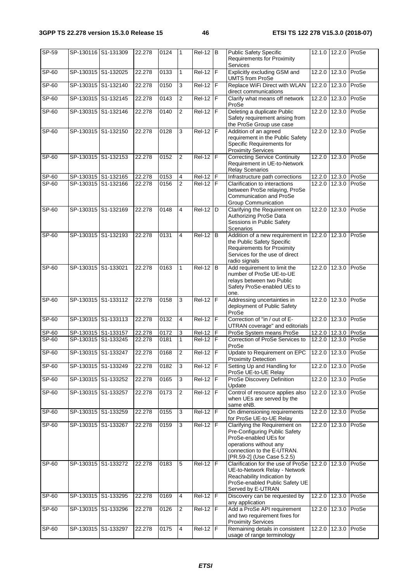| SP-59   |                     | SP-130116 S1-131309 | 22.278 | 0124 | 1              | $ReI-12$ B      |                         | <b>Public Safety Specific</b><br><b>Requirements for Proximity</b><br>Services                                                                                                |               | 12.1.0 12.2.0       | ProSe |
|---------|---------------------|---------------------|--------|------|----------------|-----------------|-------------------------|-------------------------------------------------------------------------------------------------------------------------------------------------------------------------------|---------------|---------------------|-------|
| $SP-60$ |                     | SP-130315 S1-132025 | 22.278 | 0133 | $\mathbf{1}$   | $Rel-12$ F      |                         | Explicitly excluding GSM and<br><b>UMTS from ProSe</b>                                                                                                                        |               | 12.2.0 12.3.0 ProSe |       |
| $SP-60$ |                     | SP-130315 S1-132140 | 22.278 | 0150 | 3              | <b>Rel-12</b>   | F                       | Replace WiFi Direct with WLAN<br>direct communications                                                                                                                        | 12.2.0        | 12.3.0              | ProSe |
| SP-60   |                     | SP-130315 S1-132145 | 22.278 | 0143 | $\overline{2}$ | $Rel-12$        | ĪF                      | Clarify what means off network<br>ProSe                                                                                                                                       | 12.2.0        | 12.3.0              | ProSe |
| SP-60   |                     | SP-130315 S1-132146 | 22.278 | 0140 | $\overline{2}$ | $Rel-12$ F      |                         | Deleting a duplicate Public<br>Safety requirement arising from<br>the ProSe Group use case                                                                                    |               | 12.2.0 12.3.0       | ProSe |
| SP-60   |                     | SP-130315 S1-132150 | 22,278 | 0128 | 3              | $Rel-12$ $F$    |                         | Addition of an agreed<br>requirement in the Public Safety<br>Specific Requirements for<br><b>Proximity Services</b>                                                           |               | 12.2.0 12.3.0       | ProSe |
| SP-60   |                     | SP-130315 S1-132153 | 22.278 | 0152 | $\overline{2}$ | $ReI-12$        | F                       | <b>Correcting Service Continuity</b><br>Requirement in UE-to-Network<br><b>Relay Scenarios</b>                                                                                |               | 12.2.0 12.3.0       | ProSe |
| SP-60   |                     | SP-130315 S1-132165 | 22.278 | 0153 | 4              | <b>Rel-12</b>   | F                       | Infrastructure path corrections                                                                                                                                               |               | 12.2.0 12.3.0       | ProSe |
| SP-60   |                     | SP-130315 S1-132166 | 22.278 | 0156 | $\overline{2}$ | $Rel-12$ $F$    |                         | Clarification to interactions<br>between ProSe relaying, ProSe<br><b>Communication and ProSe</b><br><b>Group Communication</b>                                                |               | 12.2.0 12.3.0       | ProSe |
| SP-60   |                     | SP-130315 S1-132169 | 22.278 | 0148 | 4              | Rel-12          | D                       | Clarifying the Requirement on<br>Authorizing ProSe Data<br>Sessions in Public Safety<br>Scenarios                                                                             | 12.2.0        | 12.3.0              | ProSe |
| SP-60   |                     | SP-130315 S1-132193 | 22.278 | 0131 | 4              | Rel-12          | l B                     | Addition of a new requirement in 12.2.0 12.3.0<br>the Public Safety Specific<br><b>Requirements for Proximity</b><br>Services for the use of direct<br>radio signals          |               |                     | ProSe |
| SP-60   | SP-130315 S1-133021 |                     | 22.278 | 0163 | 1              | <b>Rel-12</b>   | B                       | Add requirement to limit the<br>number of ProSe UE-to-UE<br>relays between two Public<br>Safety ProSe-enabled UEs to<br>one.                                                  |               | 12.2.0 12.3.0       | ProSe |
| SP-60   |                     | SP-130315 S1-133112 | 22.278 | 0158 | 3              | <b>Rel-12</b>   | $\overline{\mathsf{F}}$ | Addressing uncertainties in<br>deployment of Public Safety<br>ProSe                                                                                                           |               | 12.2.0 12.3.0 ProSe |       |
| SP-60   |                     | SP-130315 S1-133113 | 22.278 | 0132 | 4              | $ReI-12$ F      |                         | Correction of "in / out of E-<br>UTRAN coverage" and editorials                                                                                                               | 12.2.0        | 12.3.0              | ProSe |
| SP-60   |                     | SP-130315 S1-133157 | 22.278 | 0172 | 3              | Rel-12          | F                       | ProSe System means ProSe                                                                                                                                                      |               | 12.2.0 12.3.0       | ProSe |
| SP-60   |                     | SP-130315 S1-133245 | 22.278 | 0181 | $\mathbf{1}$   | $Rel-12$ F      |                         | Correction of ProSe Services to<br>ProSe                                                                                                                                      |               | 12.2.0 12.3.0       | ProSe |
| $SP-60$ |                     | SP-130315 S1-133247 | 22.278 | 0168 | $\overline{2}$ | <b>Rel-12 F</b> |                         | Update to Requirement on EPC<br><b>Proximity Detection</b>                                                                                                                    |               | 12.2.0 12.3.0 ProSe |       |
| SP-60   |                     | SP-130315 S1-133249 | 22.278 | 0182 | 3              | Rel-12   F      |                         | Setting Up and Handling for<br>ProSe UE-to-UE Relay                                                                                                                           |               | 12.2.0 12.3.0 ProSe |       |
| SP-60   |                     | SP-130315 S1-133252 | 22.278 | 0165 | $\mathbf{3}$   | $Rel-12$ F      |                         | ProSe Discovery Definition<br>Update                                                                                                                                          | 12.2.0        | 12.3.0              | ProSe |
| SP-60   |                     | SP-130315 S1-133257 | 22.278 | 0173 | $\overline{2}$ | $Rel-12$ $F$    |                         | Control of resource applies also<br>when UEs are served by the<br>same eNB.                                                                                                   | 12.2.0        | 12.3.0              | ProSe |
| SP-60   |                     | SP-130315 S1-133259 | 22.278 | 0155 | 3              | $Rel-12$ F      |                         | On dimensioning requirements<br>for ProSe UE-to-UE Relay                                                                                                                      |               | 12.2.0 12.3.0 ProSe |       |
| $SP-60$ |                     | SP-130315 S1-133267 | 22.278 | 0159 | 3              | $Rel-12$ $F$    |                         | Clarifying the Requirement on<br>Pre-Configuring Public Safety<br>ProSe-enabled UEs for<br>operations without any<br>connection to the E-UTRAN.<br>[PR.59-2] (Use Case 5.2.5) |               | 12.2.0 12.3.0       | ProSe |
| SP-60   |                     | SP-130315 S1-133272 | 22.278 | 0183 | $\overline{5}$ | $Rel-12$ F      |                         | Clarification for the use of ProSe<br>UE-to-Network Relay - Network<br>Reachability Indication by<br>ProSe-enabled Public Safety UE<br>Served by E-UTRAN                      | 12.2.0 12.3.0 |                     | ProSe |
| SP-60   |                     | SP-130315 S1-133295 | 22.278 | 0169 | 4              | $Rel-12$ $F$    |                         | Discovery can be requested by<br>any application                                                                                                                              | 12.2.0        | 12.3.0              | ProSe |
| SP-60   |                     | SP-130315 S1-133296 | 22.278 | 0126 | $\overline{2}$ | $Rel-12$ $F$    |                         | Add a ProSe API requirement<br>and two requirement fixes for<br><b>Proximity Services</b>                                                                                     |               | 12.2.0 12.3.0       | ProSe |
| SP-60   |                     | SP-130315 S1-133297 | 22.278 | 0175 | $\overline{4}$ | $Rel-12$ $F$    |                         | Remaining details in consistent<br>usage of range terminology                                                                                                                 |               | 12.2.0 12.3.0 ProSe |       |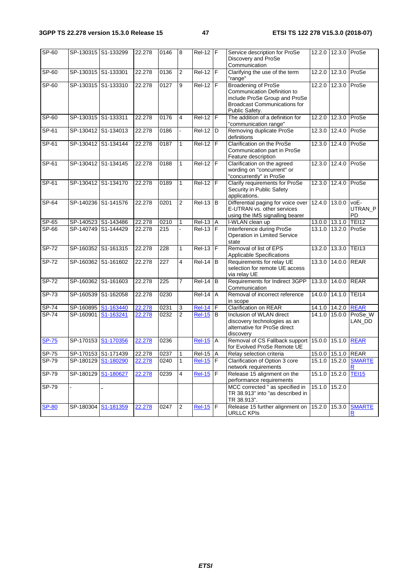| $SP-60$      |           | SP-130315 S1-133299 | 22.278 | 0146             | 8              | $Rel-12$ F          |                | Service description for ProSe<br>Discovery and ProSe<br>Communication                                                                               |        | 12.2.0 12.3.0 ProSe |                              |
|--------------|-----------|---------------------|--------|------------------|----------------|---------------------|----------------|-----------------------------------------------------------------------------------------------------------------------------------------------------|--------|---------------------|------------------------------|
| $SP-60$      |           | SP-130315 S1-133301 | 22.278 | 0136             | 2              | $Rel-12$ $F$        |                | Clarifying the use of the term<br>"range"                                                                                                           |        | 12.2.0 12.3.0       | ProSe                        |
| $SP-60$      |           | SP-130315 S1-133310 | 22.278 | 0127             | 9              | $Rel-12$ F          |                | <b>Broadening of ProSe</b><br>Communication Definition to<br>include ProSe Group and ProSe<br><b>Broadcast Communications for</b><br>Public Safety. | 12.2.0 | 12.3.0              | ProSe                        |
| SP-60        |           | SP-130315 S1-133311 | 22.278 | 0176             | 4              | $Rel-12$ $F$        |                | The addition of a definition for<br>"communication range"                                                                                           |        | 12.2.0 12.3.0       | ProSe                        |
| SP-61        |           | SP-130412 S1-134013 | 22.278 | 0186             |                | <b>Rel-12</b>       | l D            | Removing duplicate ProSe<br>definitions                                                                                                             | 12.3.0 | 12.4.0              | ProSe                        |
| $SP-61$      |           | SP-130412 S1-134144 | 22.278 | 0187             | $\mathbf{1}$   | <b>Rel-12</b>       | F              | Clarification on the ProSe<br>Communication part in ProSe<br>Feature description                                                                    | 12.3.0 | 12.4.0              | ProSe                        |
| SP-61        |           | SP-130412 S1-134145 | 22.278 | 0188             | 1              | $ReI-12$ F          |                | Clarification on the agreed<br>wording on "concurrent" or<br>"concurrently" in ProSe                                                                | 12.3.0 | 12.4.0              | ProSe                        |
| SP-61        |           | SP-130412 S1-134170 | 22.278 | 0189             | $\mathbf{1}$   | $\overline{Rel.12}$ | ١F             | Clarify requirements for ProSe<br>Security in Public Safety<br>applications.                                                                        | 12.3.0 | 12.4.0              | ProSe                        |
| SP-64        |           | SP-140236 S1-141576 | 22.278 | 0201             | 2              | $Rel-13$            | B              | Differential paging for voice over<br>E-UTRAN vs. other services<br>using the IMS signalling bearer                                                 | 12.4.0 | 13.0.0              | voE-<br>UTRAN_P<br><b>PD</b> |
| $SP-65$      |           | SP-140523 S1-143486 | 22.278 | 0210             | 1              | <b>Rel-13</b> A     |                | I-WLAN clean up                                                                                                                                     |        | 13.0.0 13.1.0       | <b>TEI12</b>                 |
| SP-66        |           | SP-140749 S1-144429 | 22.278 | $\overline{215}$ |                | $Rel-13$ $F$        |                | Interference during ProSe<br>Operation in Limited Service<br>state                                                                                  |        | 13.1.0 13.2.0       | ProSe                        |
| SP-72        | SP-160352 | S1-161315           | 22.278 | 228              | 1              | <b>Rel-13</b>       | F              | Removal of list of EPS<br>Applicable Specifications                                                                                                 | 13.2.0 | 13.3.0              | <b>TEI13</b>                 |
| SP-72        |           | SP-160362 S1-161602 | 22.278 | 227              | 4              | $ReI-14$ B          |                | Requirements for relay UE<br>selection for remote UE access<br>via relay UE                                                                         |        | 13.3.0 14.0.0       | <b>REAR</b>                  |
| $SP-72$      |           | SP-160362 S1-161603 | 22.278 | 225              | $\overline{7}$ | Rel-14              | B              | Requirements for Indirect 3GPP<br>Communication                                                                                                     | 13.3.0 | 14.0.0              | <b>REAR</b>                  |
| SP-73        | SP-160539 | S1-162058           | 22.278 | 0230             |                | Rel-14              | A              | Removal of incorrect reference<br>in scope                                                                                                          | 14.0.0 | 14.1.0              | <b>TEI14</b>                 |
| SP-74        | SP-160895 | S1-163440           | 22.278 | 0231             | 3              | <b>Rel-14</b>       | F              | Clarification on REAR                                                                                                                               |        | 14.1.0 14.2.0       | <b>REAR</b>                  |
| $SP-74$      | SP-160901 | S1-163241           | 22.278 | 0232             | $\overline{2}$ | <b>Rel-15</b>       | В              | Inclusion of WLAN direct<br>discovery technologies as an<br>alternative for ProSe direct<br>discovery                                               |        | 14.1.0 15.0.0       | ProSe_W<br>LAN_DD            |
| <b>SP-75</b> | SP-170153 | S1-170356           | 22.278 | 0236             |                | <b>Rel-15</b>       | $\overline{A}$ | Removal of CS Fallback support 15.0.0 15.1.0<br>for Evolved ProSe Remote UE                                                                         |        |                     | <b>REAR</b>                  |
| SP-75        |           | SP-170153 S1-171439 | 22.278 | 0237             |                | $Rel-15$ A          |                | Relay selection criteria                                                                                                                            |        | 15.0.0 15.1.0 REAR  |                              |
| SP-79        | SP-180129 | S1-180290           | 22.278 | 0240             | $\mathbf{1}$   | $Rel-15$ F          |                | Clarification of Option 3 core<br>network requirements                                                                                              |        | 15.1.0 15.2.0       | <b>SMARTE</b><br>R           |
| $SP-79$      | SP-180129 | S1-180627           | 22.278 | 0239             | 4              | <b>Rel-15</b>       | F              | Release 15 alignment on the<br>performance requirements                                                                                             |        | 15.1.0 15.2.0       | <b>TEI15</b>                 |
| SP-79        |           |                     |        |                  |                |                     |                | MCC corrected " as specified in<br>TR 38.913" into "as described in<br>TR 38.913".                                                                  | 15.1.0 | 15.2.0              |                              |
| <b>SP-80</b> | SP-180304 | S1-181359           | 22.278 | 0247             | $\overline{2}$ | <b>Rel-15</b>       | F              | Release 15 further alignment on<br><b>URLLC KPIS</b>                                                                                                |        | 15.2.0 15.3.0       | <b>SMARTE</b><br>R           |